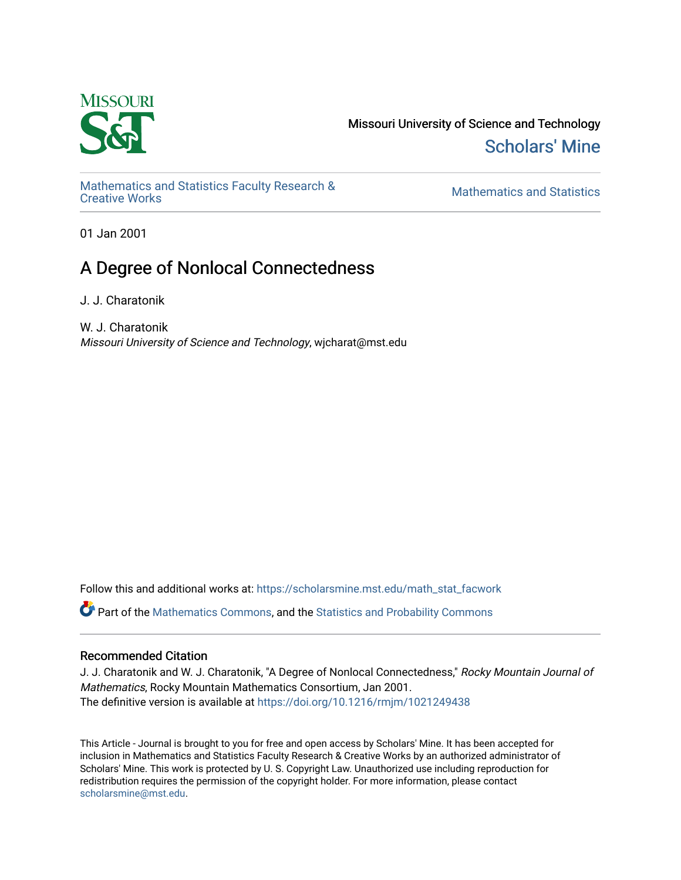

Missouri University of Science and Technology [Scholars' Mine](https://scholarsmine.mst.edu/) 

[Mathematics and Statistics Faculty Research &](https://scholarsmine.mst.edu/math_stat_facwork) 

**Mathematics and Statistics** 

01 Jan 2001

# A Degree of Nonlocal Connectedness

J. J. Charatonik

W. J. Charatonik Missouri University of Science and Technology, wjcharat@mst.edu

Follow this and additional works at: [https://scholarsmine.mst.edu/math\\_stat\\_facwork](https://scholarsmine.mst.edu/math_stat_facwork?utm_source=scholarsmine.mst.edu%2Fmath_stat_facwork%2F364&utm_medium=PDF&utm_campaign=PDFCoverPages)

Part of the [Mathematics Commons](http://network.bepress.com/hgg/discipline/174?utm_source=scholarsmine.mst.edu%2Fmath_stat_facwork%2F364&utm_medium=PDF&utm_campaign=PDFCoverPages), and the [Statistics and Probability Commons](http://network.bepress.com/hgg/discipline/208?utm_source=scholarsmine.mst.edu%2Fmath_stat_facwork%2F364&utm_medium=PDF&utm_campaign=PDFCoverPages)

# Recommended Citation

J. J. Charatonik and W. J. Charatonik, "A Degree of Nonlocal Connectedness," Rocky Mountain Journal of Mathematics, Rocky Mountain Mathematics Consortium, Jan 2001. The definitive version is available at <https://doi.org/10.1216/rmjm/1021249438>

This Article - Journal is brought to you for free and open access by Scholars' Mine. It has been accepted for inclusion in Mathematics and Statistics Faculty Research & Creative Works by an authorized administrator of Scholars' Mine. This work is protected by U. S. Copyright Law. Unauthorized use including reproduction for redistribution requires the permission of the copyright holder. For more information, please contact [scholarsmine@mst.edu.](mailto:scholarsmine@mst.edu)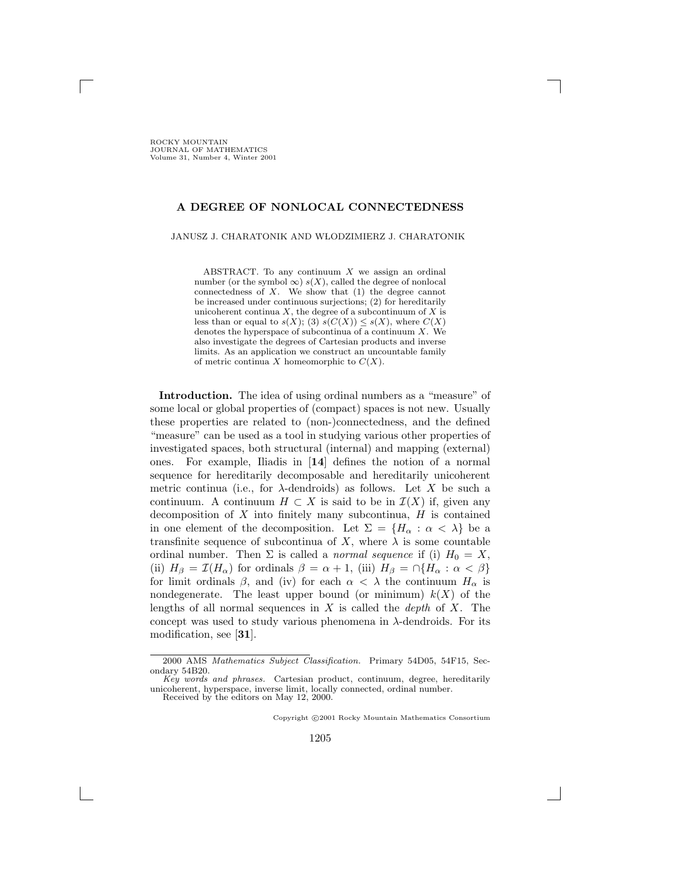**ROCKY MOUNTAIN** JOURNAL OF MATHEMATICS Volume 31, Number 4, Winter 2001

#### **A DEGREE OF NONLOCAL CONNECTEDNESS**

JANUSZ J. CHARATONIK AND WLODZIMIERZ J. CHARATONIK

ABSTRACT. To any continuum  $X$  we assign an ordinal number (or the symbol  $\infty$ ) s(X), called the degree of nonlocal connectedness of  $X$ . We show that  $(1)$  the degree cannot be increased under continuous surjections; (2) for hereditarily unicoherent continua  $X$ , the degree of a subcontinuum of  $X$  is less than or equal to  $s(X)$ ; (3)  $s(C(X)) \leq s(X)$ , where  $C(X)$ denotes the hyperspace of subcontinua of a continuum  $X$ . We also investigate the degrees of Cartesian products and inverse limits. As an application we construct an uncountable family of metric continua X homeomorphic to  $C(X)$ .

**Introduction.** The idea of using ordinal numbers as a "measure" of some local or global properties of (compact) spaces is not new. Usually these properties are related to (non-)connectedness, and the defined "measure" can be used as a tool in studying various other properties of investigated spaces, both structural (internal) and mapping (external) ones. For example, Iliadis in [**14**] defines the notion of a normal sequence for hereditarily decomposable and hereditarily unicoherent metric continua (i.e., for  $\lambda$ -dendroids) as follows. Let X be such a continuum. A continuum  $H \subset X$  is said to be in  $\mathcal{I}(X)$  if, given any decomposition of  $X$  into finitely many subcontinua,  $H$  is contained in one element of the decomposition. Let  $\Sigma = \{H_\alpha : \alpha < \lambda\}$  be a transfinite sequence of subcontinua of X, where  $\lambda$  is some countable ordinal number. Then  $\Sigma$  is called a *normal sequence* if (i)  $H_0 = X$ , (ii)  $H_{\beta} = \mathcal{I}(H_{\alpha})$  for ordinals  $\beta = \alpha + 1$ , (iii)  $H_{\beta} = \bigcap \{H_{\alpha} : \alpha < \beta\}$ for limit ordinals  $\beta$ , and (iv) for each  $\alpha < \lambda$  the continuum  $H_{\alpha}$  is nondegenerate. The least upper bound (or minimum)  $k(X)$  of the lengths of all normal sequences in X is called the *depth* of X. The concept was used to study various phenomena in  $\lambda$ -dendroids. For its modification, see [**31**].

Copyright C 2001 Rocky Mountain Mathematics Consortium

<sup>2000</sup> AMS Mathematics Subject Classification. Primary 54D05, 54F15, Secondary 54B20.

Key words and phrases. Cartesian product, continuum, degree, hereditarily unicoherent, hyperspace, inverse limit, locally connected, ordinal number. Received by the editors on May 12, 2000.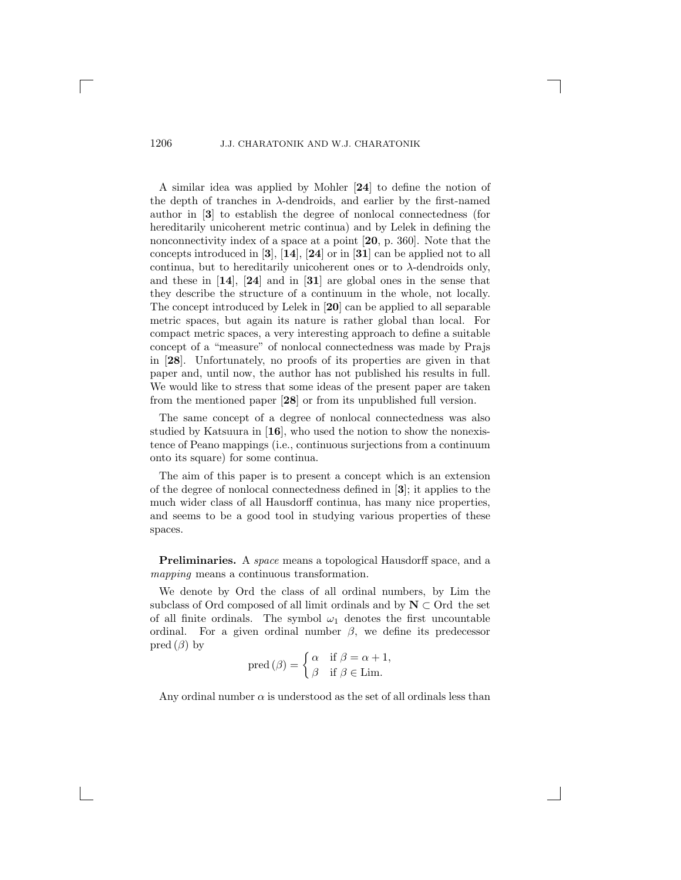A similar idea was applied by Mohler [**24**] to define the notion of the depth of tranches in  $\lambda$ -dendroids, and earlier by the first-named author in [**3**] to establish the degree of nonlocal connectedness (for hereditarily unicoherent metric continua) and by Lelek in defining the nonconnectivity index of a space at a point [20, p. 360]. Note that the concepts introduced in [**3**], [**14**], [**24**] or in [**31**] can be applied not to all continua, but to hereditarily unicoherent ones or to  $\lambda$ -dendroids only, and these in [**14**], [**24**] and in [**31**] are global ones in the sense that they describe the structure of a continuum in the whole, not locally. The concept introduced by Lelek in [**20**] can be applied to all separable metric spaces, but again its nature is rather global than local. For compact metric spaces, a very interesting approach to define a suitable concept of a "measure" of nonlocal connectedness was made by Prajs in [**28**]. Unfortunately, no proofs of its properties are given in that paper and, until now, the author has not published his results in full. We would like to stress that some ideas of the present paper are taken from the mentioned paper [**28**] or from its unpublished full version.

The same concept of a degree of nonlocal connectedness was also studied by Katsuura in [**16**], who used the notion to show the nonexistence of Peano mappings (i.e., continuous surjections from a continuum onto its square) for some continua.

The aim of this paper is to present a concept which is an extension of the degree of nonlocal connectedness defined in [**3**]; it applies to the much wider class of all Hausdorff continua, has many nice properties, and seems to be a good tool in studying various properties of these spaces.

**Preliminaries.** A *space* means a topological Hausdorff space, and a *mapping* means a continuous transformation.

We denote by Ord the class of all ordinal numbers, by Lim the subclass of Ord composed of all limit ordinals and by  $N \subset \text{Ord}$  the set of all finite ordinals. The symbol  $\omega_1$  denotes the first uncountable ordinal. For a given ordinal number  $\beta$ , we define its predecessor pred  $(\beta)$  by

$$
\text{pred}\left(\beta\right) = \begin{cases} \alpha & \text{if } \beta = \alpha + 1, \\ \beta & \text{if } \beta \in \text{Lim.} \end{cases}
$$

Any ordinal number  $\alpha$  is understood as the set of all ordinals less than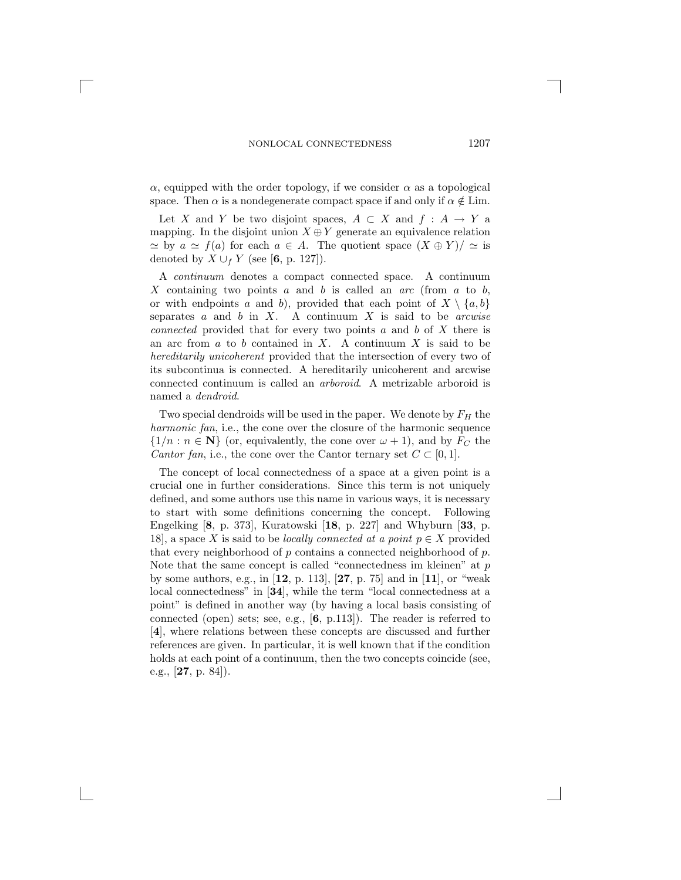$\alpha$ , equipped with the order topology, if we consider  $\alpha$  as a topological space. Then  $\alpha$  is a nondegenerate compact space if and only if  $\alpha \notin \text{Lim}$ .

Let X and Y be two disjoint spaces,  $A \subset X$  and  $f : A \to Y$  a mapping. In the disjoint union  $X \oplus Y$  generate an equivalence relation  $\simeq$  by  $a \simeq f(a)$  for each  $a \in A$ . The quotient space  $(X \oplus Y)/\simeq$  is denoted by  $X \cup_f Y$  (see [6, p. 127]).

A *continuum* denotes a compact connected space. A continuum X containing two points a and b is called an *arc* (from a to b, or with endpoints a and b), provided that each point of  $X \setminus \{a, b\}$ separates a and b in X. A continuum X is said to be *arcwise connected* provided that for every two points a and b of X there is an arc from  $a$  to  $b$  contained in  $X$ . A continuum  $X$  is said to be *hereditarily unicoherent* provided that the intersection of every two of its subcontinua is connected. A hereditarily unicoherent and arcwise connected continuum is called an *arboroid*. A metrizable arboroid is named a *dendroid*.

Two special dendroids will be used in the paper. We denote by  $F_H$  the *harmonic fan*, i.e., the cone over the closure of the harmonic sequence  $\{1/n : n \in \mathbb{N}\}\$  (or, equivalently, the cone over  $\omega + 1$ ), and by  $F_C$  the *Cantor fan*, i.e., the cone over the Cantor ternary set  $C \subset [0, 1]$ .

The concept of local connectedness of a space at a given point is a crucial one in further considerations. Since this term is not uniquely defined, and some authors use this name in various ways, it is necessary to start with some definitions concerning the concept. Following Engelking [**8**, p. 373], Kuratowski [**18**, p. 227] and Whyburn [**33**, p. 18], a space X is said to be *locally connected at a point*  $p \in X$  provided that every neighborhood of  $p$  contains a connected neighborhood of  $p$ . Note that the same concept is called "connectedness im kleinen" at p by some authors, e.g., in [**12**, p. 113], [**27**, p. 75] and in [**11**], or "weak local connectedness" in [**34**], while the term "local connectedness at a point" is defined in another way (by having a local basis consisting of connected (open) sets; see, e.g., [**6**, p.113]). The reader is referred to [**4**], where relations between these concepts are discussed and further references are given. In particular, it is well known that if the condition holds at each point of a continuum, then the two concepts coincide (see, e.g., [**27**, p. 84]).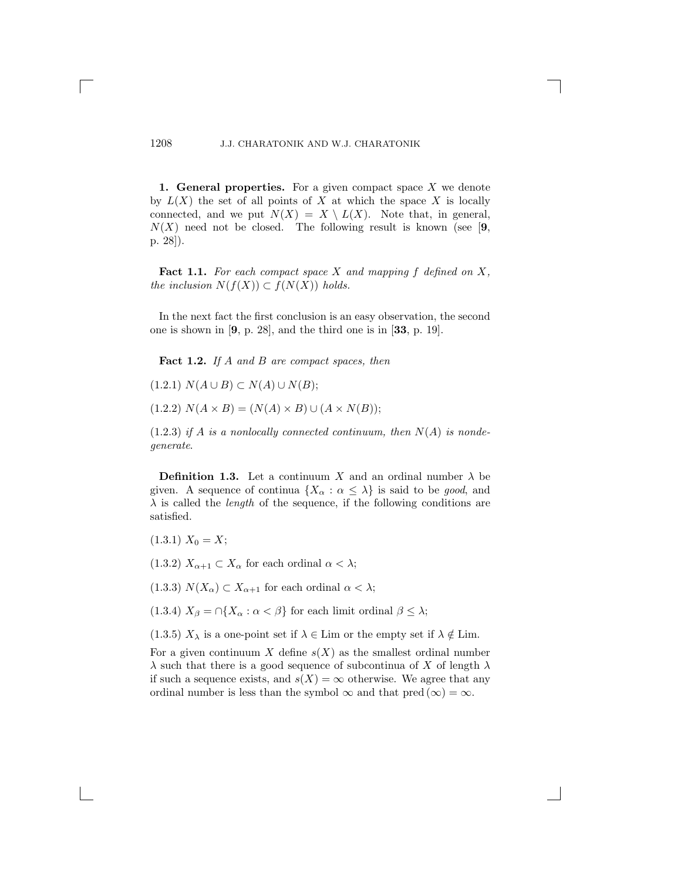**1. General properties.** For a given compact space X we denote by  $L(X)$  the set of all points of X at which the space X is locally connected, and we put  $N(X) = X \setminus L(X)$ . Note that, in general,  $N(X)$  need not be closed. The following result is known (see [9, p. 28]).

**Fact 1.1.** *For each compact space* X *and mapping* f *defined on* X*, the inclusion*  $N(f(X)) \subset f(N(X))$  *holds.* 

In the next fact the first conclusion is an easy observation, the second one is shown in [**9**, p. 28], and the third one is in [**33**, p. 19].

**Fact 1.2.** *If* A *and* B *are compact spaces, then*

 $(1.2.1)$   $N(A \cup B) \subset N(A) \cup N(B);$ 

 $(1.2.2)$   $N(A \times B) = (N(A) \times B) \cup (A \times N(B))$ ;

 $(1.2.3)$  *if* A *is a nonlocally connected continuum, then*  $N(A)$  *is nondegenerate*.

**Definition 1.3.** Let a continuum X and an ordinal number  $\lambda$  be given. A sequence of continua  $\{X_\alpha : \alpha \leq \lambda\}$  is said to be *good*, and  $\lambda$  is called the *length* of the sequence, if the following conditions are satisfied.

 $(1.3.1) X_0 = X;$ 

(1.3.2)  $X_{\alpha+1} \subset X_{\alpha}$  for each ordinal  $\alpha < \lambda$ ;

(1.3.3)  $N(X_{\alpha}) \subset X_{\alpha+1}$  for each ordinal  $\alpha < \lambda$ ;

(1.3.4)  $X_{\beta} = \bigcap \{ X_{\alpha} : \alpha < \beta \}$  for each limit ordinal  $\beta \leq \lambda$ ;

(1.3.5)  $X_{\lambda}$  is a one-point set if  $\lambda \in \text{Lim}$  or the empty set if  $\lambda \notin \text{Lim}$ .

For a given continuum X define  $s(X)$  as the smallest ordinal number  $\lambda$  such that there is a good sequence of subcontinua of X of length  $\lambda$ if such a sequence exists, and  $s(X) = \infty$  otherwise. We agree that any ordinal number is less than the symbol  $\infty$  and that pred  $(\infty) = \infty$ .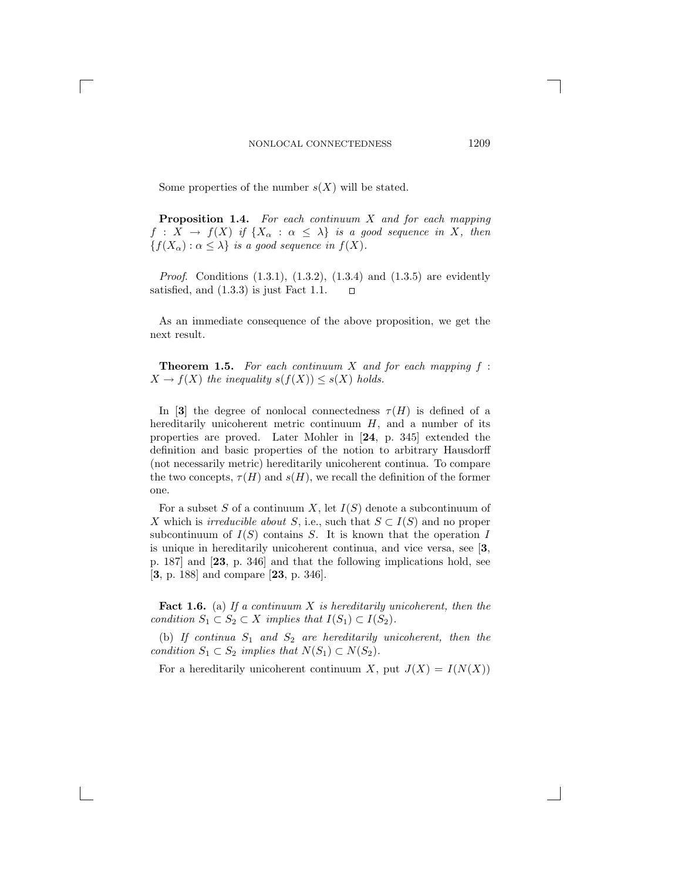Some properties of the number  $s(X)$  will be stated.

**Proposition 1.4.** *For each continuum* X *and for each mapping*  $f: X \to f(X)$  *if*  $\{X_\alpha : \alpha \leq \lambda\}$  *is a good sequence in* X, then  ${f(X_\alpha): \alpha \leq \lambda}$  *is a good sequence in*  $f(X)$ *.* 

*Proof.* Conditions (1.3.1), (1.3.2), (1.3.4) and (1.3.5) are evidently satisfied, and (1.3.3) is just Fact 1.1.  $\Box$ 

As an immediate consequence of the above proposition, we get the next result.

**Theorem 1.5.** *For each continuum* X *and for each mapping* f :  $X \to f(X)$  *the inequality*  $s(f(X)) \leq s(X)$  *holds.* 

In [3] the degree of nonlocal connectedness  $\tau(H)$  is defined of a hereditarily unicoherent metric continuum  $H$ , and a number of its properties are proved. Later Mohler in [**24**, p. 345] extended the definition and basic properties of the notion to arbitrary Hausdorff (not necessarily metric) hereditarily unicoherent continua. To compare the two concepts,  $\tau(H)$  and  $s(H)$ , we recall the definition of the former one.

For a subset S of a continuum X, let  $I(S)$  denote a subcontinuum of X which is *irreducible about* S, i.e., such that  $S \subset I(S)$  and no proper subcontinuum of  $I(S)$  contains S. It is known that the operation I is unique in hereditarily unicoherent continua, and vice versa, see [**3**, p. 187] and [**23**, p. 346] and that the following implications hold, see [**3**, p. 188] and compare [**23**, p. 346].

**Fact 1.6.** (a) *If a continuum* X *is hereditarily unicoherent, then the condition*  $S_1 \subset S_2 \subset X$  *implies that*  $I(S_1) \subset I(S_2)$ *.* 

(b) If continua  $S_1$  and  $S_2$  are hereditarily unicoherent, then the *condition*  $S_1 \subset S_2$  *implies that*  $N(S_1) \subset N(S_2)$ *.* 

For a hereditarily unicoherent continuum X, put  $J(X) = I(N(X))$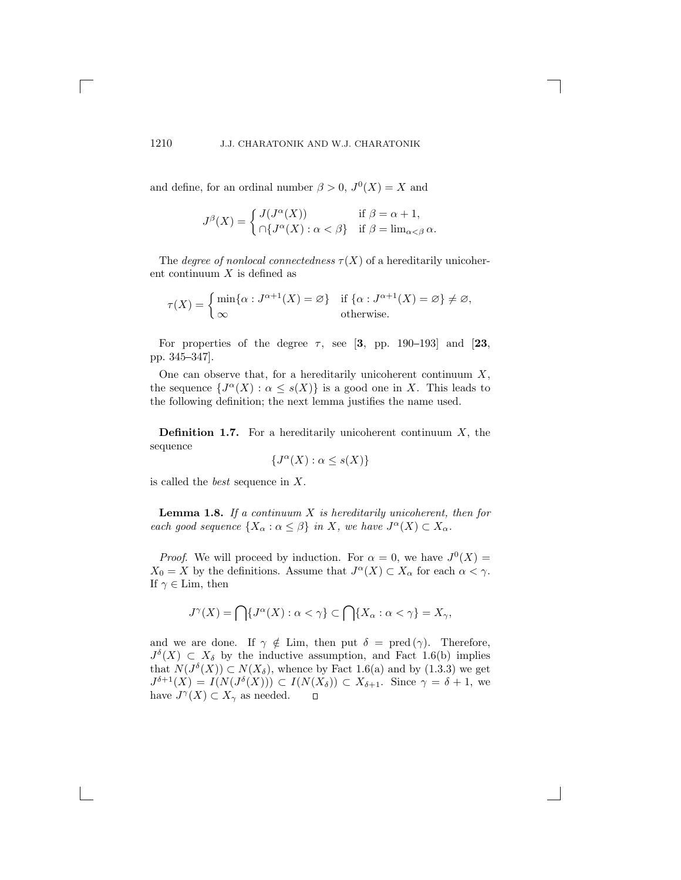and define, for an ordinal number  $\beta > 0$ ,  $J^0(X) = X$  and

$$
J^{\beta}(X) = \begin{cases} J(J^{\alpha}(X)) & \text{if } \beta = \alpha + 1, \\ \cap \{ J^{\alpha}(X) : \alpha < \beta \} & \text{if } \beta = \lim_{\alpha < \beta} \alpha. \end{cases}
$$

The *degree of nonlocal connectedness*  $\tau(X)$  of a hereditarily unicoherent continuum  $X$  is defined as

$$
\tau(X) = \begin{cases} \min\{\alpha : J^{\alpha+1}(X) = \varnothing\} & \text{if } \{\alpha : J^{\alpha+1}(X) = \varnothing\} \neq \varnothing, \\ \infty & \text{otherwise.} \end{cases}
$$

For properties of the degree  $\tau$ , see [3, pp. 190–193] and [23, pp. 345-347].

One can observe that, for a hereditarily unicoherent continuum  $X$ , the sequence  $\{J^{\alpha}(X):\alpha \leq s(X)\}\$ is a good one in X. This leads to the following definition; the next lemma justifies the name used.

**Definition 1.7.** For a hereditarily unicoherent continuum  $X$ , the sequence

$$
\{J^{\alpha}(X) : \alpha \le s(X)\}
$$

is called the *best* sequence in X.

**Lemma 1.8.** *If a continuum* X *is hereditarily unicoherent, then for each good sequence*  $\{X_{\alpha} : \alpha \leq \beta\}$  *in* X, we have  $J^{\alpha}(X) \subset X_{\alpha}$ .

*Proof.* We will proceed by induction. For  $\alpha = 0$ , we have  $J^0(X) =$  $X_0 = X$  by the definitions. Assume that  $J^{\alpha}(X) \subset X_{\alpha}$  for each  $\alpha < \gamma$ . If  $\gamma \in \text{Lim}$ , then

$$
J^{\gamma}(X) = \bigcap \{ J^{\alpha}(X) : \alpha < \gamma \} \subset \bigcap \{ X_{\alpha} : \alpha < \gamma \} = X_{\gamma},
$$

and we are done. If  $\gamma \notin \text{Lim}$ , then put  $\delta = \text{pred}(\gamma)$ . Therefore,  $J^{\delta}(X) \subset X_{\delta}$  by the inductive assumption, and Fact 1.6(b) implies that  $N(J^{\delta}(X)) \subset N(X_{\delta})$ , whence by Fact 1.6(a) and by (1.3.3) we get  $J^{\delta+1}(X) = I(N(J^{\delta}(X))) \subset I(N(X_{\delta})) \subset X_{\delta+1}$ . Since  $\gamma = \delta + 1$ , we have  $J^{\gamma}(X) \subset X_{\gamma}$  as needed.  $\Box$ have  $J^{\gamma}(X) \subset X_{\gamma}$  as needed.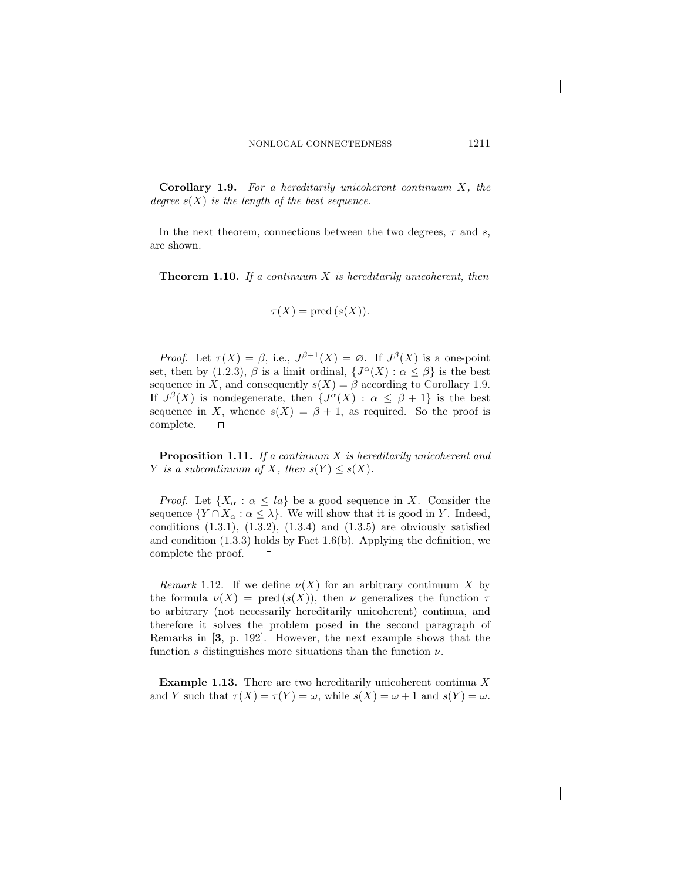**Corollary 1.9.** *For a hereditarily unicoherent continuum* X*, the degree* s(X) *is the length of the best sequence.*

In the next theorem, connections between the two degrees,  $\tau$  and s, are shown.

**Theorem 1.10.** *If a continuum* X *is hereditarily unicoherent, then*

$$
\tau(X) = \text{pred}\,(s(X)).
$$

*Proof.* Let  $\tau(X) = \beta$ , i.e.,  $J^{\beta+1}(X) = \emptyset$ . If  $J^{\beta}(X)$  is a one-point set, then by (1.2.3),  $\beta$  is a limit ordinal,  $\{J^{\alpha}(X):\alpha \leq \beta\}$  is the best sequence in X, and consequently  $s(X) = \beta$  according to Corollary 1.9. If  $J^{\beta}(X)$  is nondegenerate, then  $\{J^{\alpha}(X) : \alpha \leq \beta + 1\}$  is the best sequence in X, whence  $s(X) = \beta + 1$ , as required. So the proof is complete.  $\Box$ complete.

**Proposition 1.11.** *If a continuum* X *is hereditarily unicoherent and Y is a subcontinuum of X, then*  $s(Y) \leq s(X)$ *.* 

*Proof.* Let  $\{X_\alpha : \alpha \leq la\}$  be a good sequence in X. Consider the sequence  $\{Y \cap X_\alpha : \alpha \leq \lambda\}$ . We will show that it is good in Y. Indeed, conditions  $(1.3.1)$ ,  $(1.3.2)$ ,  $(1.3.4)$  and  $(1.3.5)$  are obviously satisfied and condition  $(1.3.3)$  holds by Fact 1.6(b). Applying the definition, we complete the proof.  $\Box$ 

*Remark* 1.12. If we define  $\nu(X)$  for an arbitrary continuum X by the formula  $\nu(X) = \text{pred}(s(X))$ , then  $\nu$  generalizes the function  $\tau$ to arbitrary (not necessarily hereditarily unicoherent) continua, and therefore it solves the problem posed in the second paragraph of Remarks in [**3**, p. 192]. However, the next example shows that the function s distinguishes more situations than the function  $\nu$ .

**Example 1.13.** There are two hereditarily unicoherent continua X and Y such that  $\tau(X) = \tau(Y) = \omega$ , while  $s(X) = \omega + 1$  and  $s(Y) = \omega$ .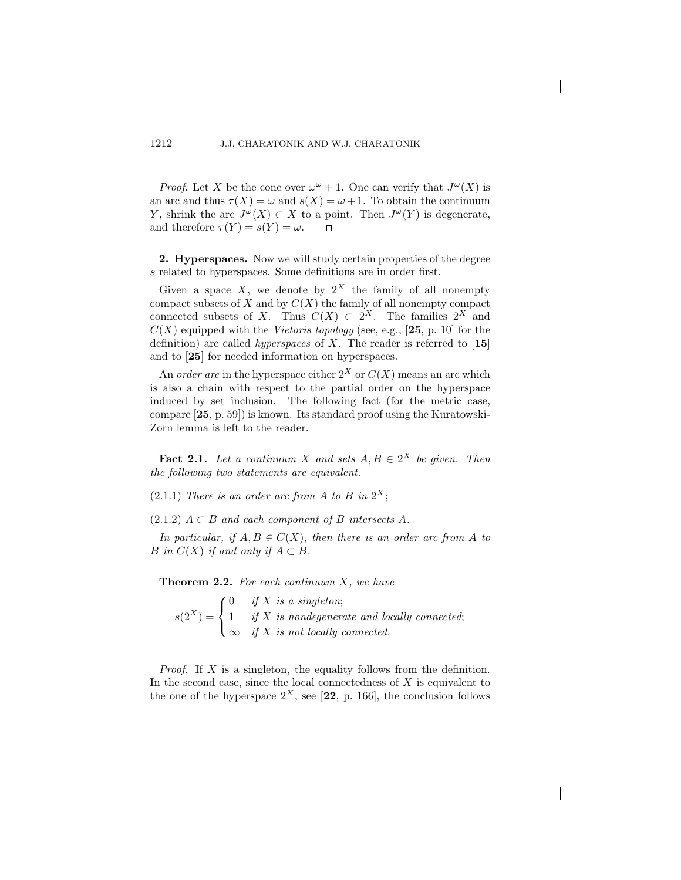*Proof.* Let X be the cone over  $\omega^{\omega} + 1$ . One can verify that  $J^{\omega}(X)$  is an arc and thus  $\tau(X) = \omega$  and  $s(X) = \omega + 1$ . To obtain the continuum Y, shrink the arc  $J^{\omega}(X) \subset X$  to a point. Then  $J^{\omega}(Y)$  is degenerate, and therefore  $\tau(Y) = s(Y) = \omega$ . and therefore  $\tau(Y) = s(Y) = \omega$ .

**2. Hyperspaces.** Now we will study certain properties of the degree s related to hyperspaces. Some definitions are in order first.

Given a space X, we denote by  $2^X$  the family of all nonempty compact subsets of X and by  $C(X)$  the family of all nonempty compact connected subsets of X. Thus  $C(X) \subset 2^X$ . The families  $2^X$  and  $C(X)$  equipped with the *Vietoris topology* (see, e.g., [25, p. 10] for the definition) are called *hyperspaces* of X. The reader is referred to [**15**] and to [**25**] for needed information on hyperspaces.

An *order arc* in the hyperspace either  $2^X$  or  $C(X)$  means an arc which is also a chain with respect to the partial order on the hyperspace induced by set inclusion. The following fact (for the metric case, compare [**25**, p. 59]) is known. Its standard proof using the Kuratowski-Zorn lemma is left to the reader.

**Fact 2.1.** *Let a continuum* X *and sets*  $A, B \in 2^X$  *be given. Then the following two statements are equivalent.*

 $(2.1.1)$  *There is an order arc from A to B in*  $2^X$ ;

 $(2.1.2)$   $A \subset B$  *and each component of* B *intersects* A.

*In particular, if*  $A, B \in C(X)$ *, then there is an order arc from* A *to* B in  $C(X)$  if and only if  $A \subset B$ .

**Theorem 2.2.** *For each continuum* X*, we have*

 $s(2^X) =$  $\sqrt{ }$ <sup>J</sup>  $\mathcal{L}$  $\begin{array}{ll} 0 & if X \ is \ a \ singleton;\ \end{array}$ 1 *if* X is nondegenerate and locally connected;<br> $\frac{d}{dx}$  X is not locally connected.  $\infty$  *if* X *is not locally connected.* 

*Proof*. If X is a singleton, the equality follows from the definition. In the second case, since the local connectedness of  $X$  is equivalent to the one of the hyperspace  $2^X$ , see [22, p. 166], the conclusion follows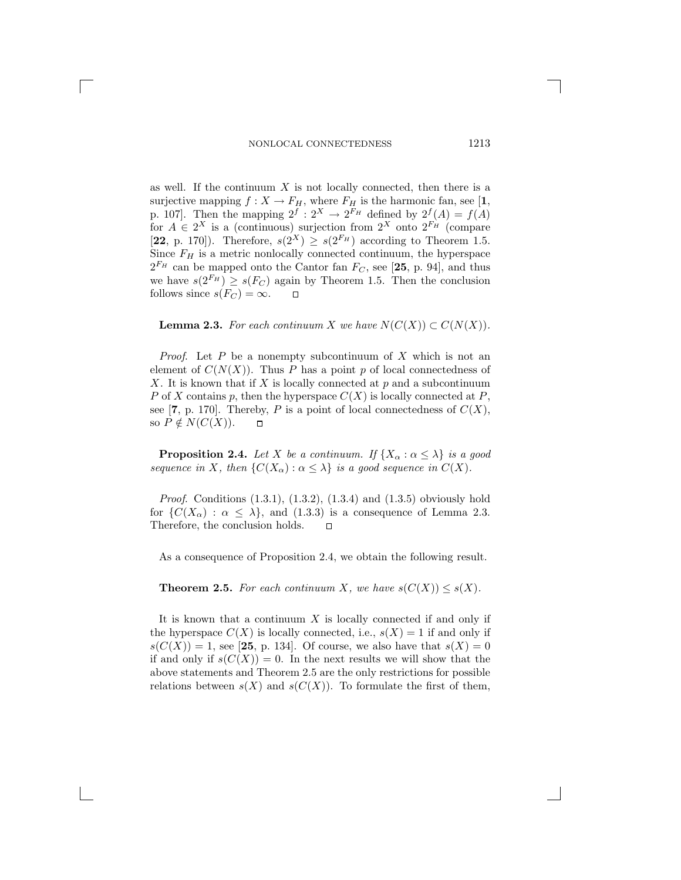as well. If the continuum X is not locally connected, then there is a surjective mapping  $f: X \to F_H$ , where  $F_H$  is the harmonic fan, see [1, surjective mapping  $f : X \to F_H$ , where  $F_H$  is the harmonic fan, see [1, n 107] Then the mapping  $2^f \cdot 2^X \to 2^{F_H}$  defined by  $2^f(A) = f(A)$ p. 107]. Then the mapping  $2^f : 2^X \to 2^{F_H}$  defined by  $2^f(A) = f(A)$ <br>for  $A \in 2^X$  is a (continuous) surjection from  $2^X$  onto  $2^{F_H}$  (compare for  $A \in 2^X$  is a (continuous) surjection from  $2^X$  onto  $2^{F_H}$  (compare<br>[22 p. 170]) Therefore,  $e(2^X) \ge e(2^{F_H})$  according to Theorem 1.5 [**22**, p. 170]). Therefore,  $s(2^{X}) \geq s(2^{F_H})$  according to Theorem 1.5. Since  $F_H$  is a metric nonlocally connected continuum, the hyperspace  $2^{F_H}$  can be mapped onto the Cantor fan  $F_C$ , see [25, p. 94], and thus we have  $s(2^{F_H}) \ge s(F_C)$  again by Theorem 1.5. Then the conclusion follows since  $s(F_C) = \infty$ . follows since  $s(F_C) = \infty$ .

#### **Lemma 2.3.** *For each continuum* X *we have*  $N(C(X)) \subset C(N(X))$ *.*

*Proof*. Let P be a nonempty subcontinuum of X which is not an element of  $C(N(X))$ . Thus P has a point p of local connectedness of  $X$ . It is known that if  $X$  is locally connected at  $p$  and a subcontinuum P of X contains p, then the hyperspace  $C(X)$  is locally connected at P, see [**7**, p. 170]. Thereby, P is a point of local connectedness of  $C(X)$ , so  $P \notin N(C(X))$ . so  $P \notin N(C(X))$ .

**Proposition 2.4.** *Let* X *be a continuum.* If  $\{X_{\alpha} : \alpha \leq \lambda\}$  *is a good sequence in* X, then  $\{C(X_\alpha): \alpha \leq \lambda\}$  *is a good sequence in*  $C(X)$ *.* 

*Proof.* Conditions (1.3.1), (1.3.2), (1.3.4) and (1.3.5) obviously hold for  $\{C(X_\alpha) : \alpha \leq \lambda\}$ , and (1.3.3) is a consequence of Lemma 2.3.<br>Therefore, the conclusion holds.  $\square$ Therefore, the conclusion holds.

As a consequence of Proposition 2.4, we obtain the following result.

**Theorem 2.5.** *For each continuum X, we have*  $s(C(X)) \leq s(X)$ *.* 

It is known that a continuum  $X$  is locally connected if and only if the hyperspace  $C(X)$  is locally connected, i.e.,  $s(X) = 1$  if and only if  $s(C(X)) = 1$ , see [25, p. 134]. Of course, we also have that  $s(X) = 0$ if and only if  $s(C(X)) = 0$ . In the next results we will show that the above statements and Theorem 2.5 are the only restrictions for possible relations between  $s(X)$  and  $s(C(X))$ . To formulate the first of them,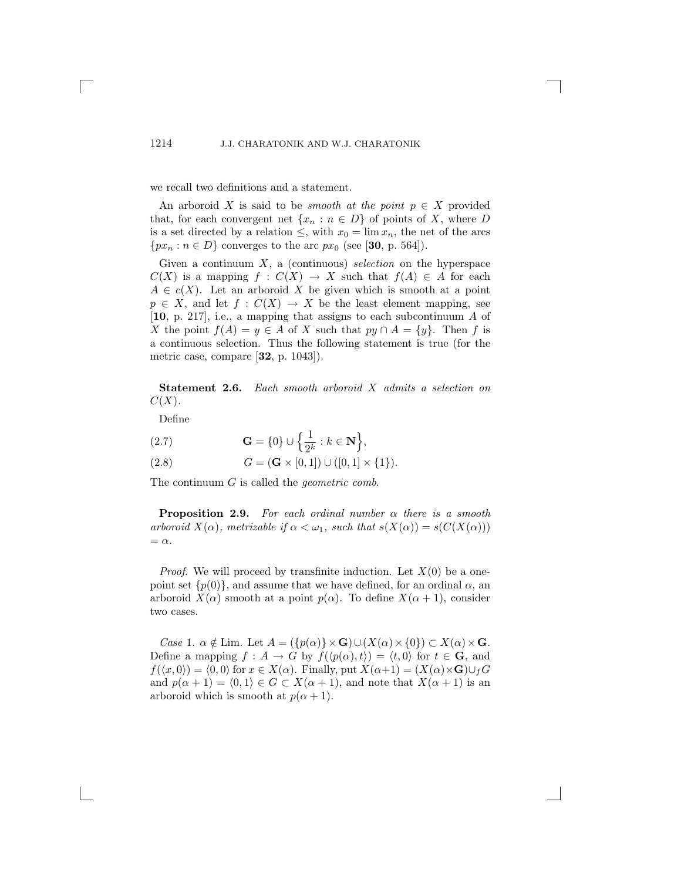we recall two definitions and a statement.

An arboroid X is said to be *smooth at the point*  $p \in X$  provided that, for each convergent net  $\{x_n : n \in D\}$  of points of X, where D is a set directed by a relation  $\leq$ , with  $x_0 = \lim x_n$ , the net of the arcs  $\{px_n : n \in D\}$  converges to the arc  $px_0$  (see [30, p. 564]).

Given a continuum X, a (continuous) *selection* on the hyperspace  $C(X)$  is a mapping  $f: C(X) \to X$  such that  $f(A) \in A$  for each  $A \in c(X)$ . Let an arboroid X be given which is smooth at a point  $p \in X$ , and let  $f : C(X) \to X$  be the least element mapping, see [**10**, p. 217], i.e., a mapping that assigns to each subcontinuum A of X the point  $f(A) = y \in A$  of X such that  $py \cap A = \{y\}$ . Then f is a continuous selection. Thus the following statement is true (for the metric case, compare [**32**, p. 1043]).

**Statement 2.6.** *Each smooth arboroid* X *admits a selection on*  $C(X)$ .

Define

(2.7) 
$$
\mathbf{G} = \{0\} \cup \left\{\frac{1}{2^k} : k \in \mathbf{N}\right\},\
$$

(2.8) 
$$
G = (\mathbf{G} \times [0,1]) \cup ([0,1] \times \{1\}).
$$

The continuum G is called the *geometric comb*.

**Proposition 2.9.** *For each ordinal number* α *there is a smooth arboroid*  $X(\alpha)$ *, metrizable if*  $\alpha < \omega_1$ *, such that*  $s(X(\alpha)) = s(C(X(\alpha)))$  $= \alpha$ .

*Proof.* We will proceed by transfinite induction. Let  $X(0)$  be a onepoint set  $\{p(0)\}\$ , and assume that we have defined, for an ordinal  $\alpha$ , an arboroid  $X(\alpha)$  smooth at a point  $p(\alpha)$ . To define  $X(\alpha + 1)$ , consider two cases.

*Case* 1.  $\alpha \notin \text{Lim. Let } A = (\{p(\alpha)\} \times \mathbf{G}) \cup (X(\alpha) \times \{0\}) \subset X(\alpha) \times \mathbf{G}.$ Define a mapping  $f : A \to G$  by  $f(\langle p(\alpha), t \rangle) = \langle t, 0 \rangle$  for  $t \in G$ , and  $f(\langle x, 0 \rangle) = \langle 0, 0 \rangle$  for  $x \in X(\alpha)$ . Finally, put  $X(\alpha+1) = (X(\alpha) \times \mathbf{G}) \cup_f G$ and  $p(\alpha + 1) = (0, 1) \in G \subset X(\alpha + 1)$ , and note that  $X(\alpha + 1)$  is an arboroid which is smooth at  $p(\alpha + 1)$ .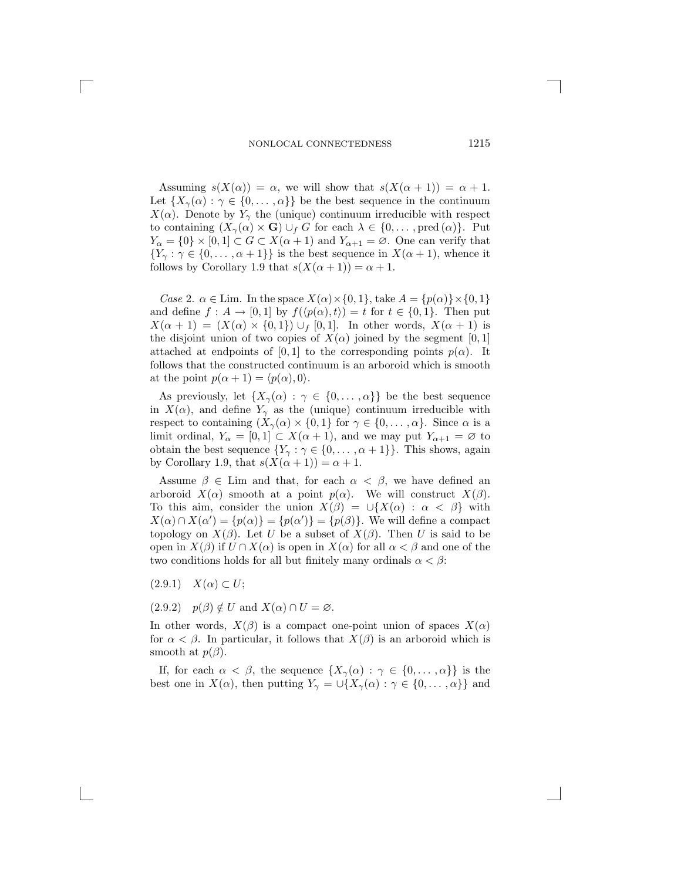Assuming  $s(X(\alpha)) = \alpha$ , we will show that  $s(X(\alpha+1)) = \alpha + 1$ . Let  $\{X_{\gamma}(\alpha):\gamma\in\{0,\ldots,\alpha\}\}\$ be the best sequence in the continuum  $X(\alpha)$ . Denote by  $Y_{\gamma}$  the (unique) continuum irreducible with respect to containing  $(X_{\gamma}(\alpha) \times \mathbf{G}) \cup_{f} G$  for each  $\lambda \in \{0, \ldots, \text{pred}(\alpha)\}.$  Put  $Y_{\alpha} = \{0\} \times [0,1] \subset G \subset X(\alpha+1)$  and  $Y_{\alpha+1} = \emptyset$ . One can verify that  ${Y_\gamma : \gamma \in \{0, \ldots, \alpha + 1\}\}\$ is the best sequence in  $X(\alpha + 1)$ , whence it follows by Corollary 1.9 that  $s(X(\alpha+1)) = \alpha + 1$ .

*Case* 2.  $\alpha \in \text{Lim.}$  In the space  $X(\alpha) \times \{0, 1\}$ , take  $A = \{p(\alpha)\} \times \{0, 1\}$ and define  $f: A \to [0,1]$  by  $f(\langle p(\alpha), t \rangle) = t$  for  $t \in \{0,1\}$ . Then put  $X(\alpha + 1) = (X(\alpha) \times \{0, 1\}) \cup_f [0, 1].$  In other words,  $X(\alpha + 1)$  is the disjoint union of two copies of  $X(\alpha)$  joined by the segment [0, 1] attached at endpoints of [0, 1] to the corresponding points  $p(\alpha)$ . It follows that the constructed continuum is an arboroid which is smooth at the point  $p(\alpha + 1) = \langle p(\alpha), 0 \rangle$ .

As previously, let  $\{X_{\gamma}(\alpha) : \gamma \in \{0, \ldots, \alpha\}\}\$ be the best sequence in  $X(\alpha)$ , and define  $Y_{\gamma}$  as the (unique) continuum irreducible with respect to containing  $(X_{\gamma}(\alpha) \times \{0,1\}$  for  $\gamma \in \{0,\ldots,\alpha\}$ . Since  $\alpha$  is a limit ordinal,  $Y_{\alpha} = [0, 1] \subset X(\alpha + 1)$ , and we may put  $Y_{\alpha+1} = \emptyset$  to obtain the best sequence  $\{Y_{\gamma} : \gamma \in \{0, \ldots, \alpha + 1\}\}\.$  This shows, again by Corollary 1.9, that  $s(X(\alpha+1)) = \alpha + 1$ .

Assume  $\beta \in \text{Lim}$  and that, for each  $\alpha < \beta$ , we have defined an arboroid  $X(\alpha)$  smooth at a point  $p(\alpha)$ . We will construct  $X(\beta)$ . To this aim, consider the union  $X(\beta) = \bigcup \{X(\alpha) : \alpha < \beta\}$  with  $X(\alpha) \cap X(\alpha') = \{p(\alpha)\} = \{p(\alpha')\} = \{p(\beta)\}\.$  We will define a compact topology on  $X(\beta)$ . Let  $U$  be a subset of  $X(\beta)$ . Then  $U$  is said to be topology on  $X(\beta)$ . Let U be a subset of  $X(\beta)$ . Then U is said to be open in  $X(\beta)$  if  $U \cap X(\alpha)$  is open in  $X(\alpha)$  for all  $\alpha < \beta$  and one of the two conditions holds for all but finitely many ordinals  $\alpha < \beta$ :

- $(2.9.1)$   $X(\alpha) \subset U$ ;
- $(2.9.2)$   $p(\beta) \notin U$  and  $X(\alpha) \cap U = \varnothing$ .

In other words,  $X(\beta)$  is a compact one-point union of spaces  $X(\alpha)$ for  $\alpha < \beta$ . In particular, it follows that  $X(\beta)$  is an arboroid which is smooth at  $p(\beta)$ .

If, for each  $\alpha < \beta$ , the sequence  $\{X_{\gamma}(\alpha) : \gamma \in \{0, \ldots, \alpha\}\}\$ is the best one in  $X(\alpha)$ , then putting  $Y_{\gamma} = \bigcup \{X_{\gamma}(\alpha) : \gamma \in \{0, \ldots, \alpha\}\}\$  and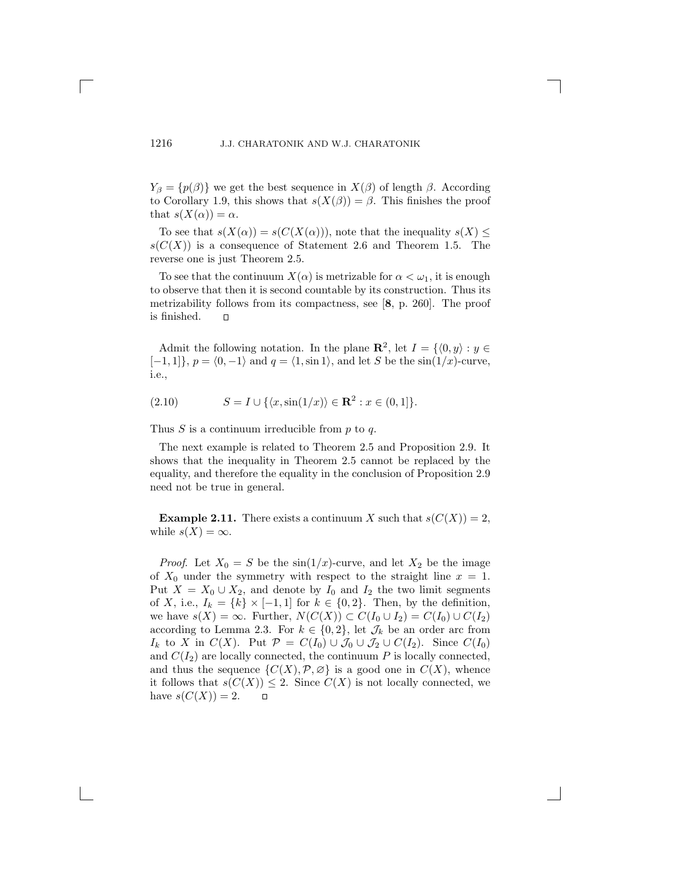$Y_{\beta} = \{p(\beta)\}\$  we get the best sequence in  $X(\beta)$  of length  $\beta$ . According to Corollary 1.9, this shows that  $s(X(\beta)) = \beta$ . This finishes the proof that  $s(X(\alpha)) = \alpha$ .

To see that  $s(X(\alpha)) = s(C(X(\alpha)))$ , note that the inequality  $s(X) \leq$  $s(C(X))$  is a consequence of Statement 2.6 and Theorem 1.5. The reverse one is just Theorem 2.5.

To see that the continuum  $X(\alpha)$  is metrizable for  $\alpha < \omega_1$ , it is enough to observe that then it is second countable by its construction. Thus its metrizability follows from its compactness, see [**8**, p. 260]. The proof is finished.  $\mathbf{\mathsf{m}}$ 

Admit the following notation. In the plane  $\mathbb{R}^2$ , let  $I = \{0, y\} : y \in$  $[-1, 1]$ ,  $p = \langle 0, -1 \rangle$  and  $q = \langle 1, \sin 1 \rangle$ , and let S be the  $\sin(1/x)$ -curve, i.e.,

(2.10) 
$$
S = I \cup \{ \langle x, \sin(1/x) \rangle \in \mathbf{R}^2 : x \in (0,1] \}.
$$

Thus  $S$  is a continuum irreducible from  $p$  to  $q$ .

The next example is related to Theorem 2.5 and Proposition 2.9. It shows that the inequality in Theorem 2.5 cannot be replaced by the equality, and therefore the equality in the conclusion of Proposition 2.9 need not be true in general.

**Example 2.11.** There exists a continuum X such that  $s(C(X)) = 2$ , while  $s(X) = \infty$ .

*Proof.* Let  $X_0 = S$  be the  $\sin(1/x)$ -curve, and let  $X_2$  be the image of  $X_0$  under the symmetry with respect to the straight line  $x = 1$ . Put  $X = X_0 \cup X_2$ , and denote by  $I_0$  and  $I_2$  the two limit segments of X, i.e.,  $I_k = \{k\} \times [-1,1]$  for  $k \in \{0,2\}$ . Then, by the definition, we have  $s(X) = \infty$ . Further,  $N(C(X)) \subset C(I_0 \cup I_2) = C(I_0) \cup C(I_2)$ according to Lemma 2.3. For  $k \in \{0, 2\}$ , let  $\mathcal{J}_k$  be an order arc from  $I_k$  to X in  $C(X)$ . Put  $\mathcal{P} = C(I_0) \cup \mathcal{J}_0 \cup \mathcal{J}_2 \cup C(I_2)$ . Since  $C(I_0)$ and  $C(I_2)$  are locally connected, the continuum P is locally connected, and thus the sequence  $\{C(X), \mathcal{P}, \varnothing\}$  is a good one in  $C(X)$ , whence it follows that  $s(C(X)) \leq 2$ . Since  $C(X)$  is not locally connected, we have  $s(C(X)) = 2$ . have  $s(C(X)) = 2$ .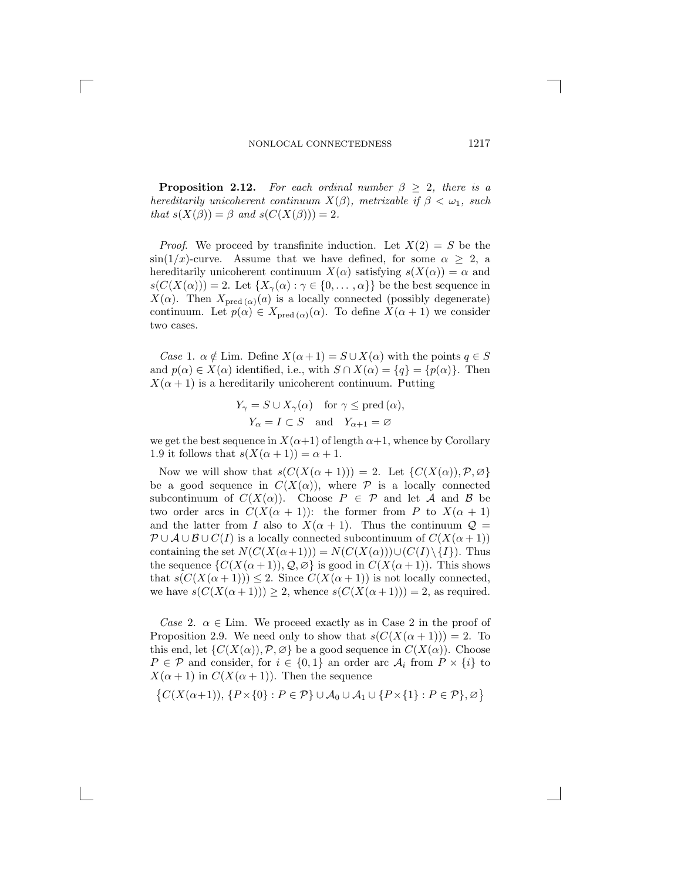**Proposition 2.12.** For each ordinal number  $\beta > 2$ , there is a *hereditarily unicoherent continuum*  $X(\beta)$ *, metrizable if*  $\beta < \omega_1$ *, such that*  $s(X(\beta)) = \beta$  *and*  $s(C(X(\beta))) = 2$ *.* 

*Proof.* We proceed by transfinite induction. Let  $X(2) = S$  be the  $\sin(1/x)$ -curve. Assume that we have defined, for some  $\alpha \geq 2$ , a hereditarily unicoherent continuum  $X(\alpha)$  satisfying  $s(X(\alpha)) = \alpha$  and  $s(C(X(\alpha))) = 2$ . Let  $\{X_{\gamma}(\alpha) : \gamma \in \{0, \dots, \alpha\}\}\$ be the best sequence in  $X(\alpha)$ . Then  $X_{\text{pred }(\alpha)}(a)$  is a locally connected (possibly degenerate) continuum. Let  $p(\alpha) \in X_{\text{pred }(\alpha)}(\alpha)$ . To define  $X(\alpha+1)$  we consider two cases.

*Case* 1.  $\alpha \notin \text{Lim.}$  Define  $X(\alpha+1) = S \cup X(\alpha)$  with the points  $q \in S$ and  $p(\alpha) \in X(\alpha)$  identified, i.e., with  $S \cap X(\alpha) = \{q\} = \{p(\alpha)\}\$ . Then  $X(\alpha + 1)$  is a hereditarily unicoherent continuum. Putting

$$
Y_{\gamma} = S \cup X_{\gamma}(\alpha) \quad \text{for } \gamma \le \text{pred }(\alpha),
$$
  

$$
Y_{\alpha} = I \subset S \quad \text{and} \quad Y_{\alpha+1} = \varnothing
$$

we get the best sequence in  $X(\alpha+1)$  of length  $\alpha+1$ , whence by Corollary 1.9 it follows that  $s(X(\alpha+1))=\alpha+1$ .

Now we will show that  $s(C(X(\alpha+1))) = 2$ . Let  $\{C(X(\alpha)), \mathcal{P}, \varnothing\}$ be a good sequence in  $C(X(\alpha))$ , where  $\mathcal P$  is a locally connected subcontinuum of  $C(X(\alpha))$ . Choose  $P \in \mathcal{P}$  and let A and B be two order arcs in  $C(X(\alpha+1))$ : the former from P to  $X(\alpha+1)$ and the latter from I also to  $X(\alpha + 1)$ . Thus the continuum  $\mathcal{Q} =$  $\mathcal{P}\cup\mathcal{A}\cup\mathcal{B}\cup\mathcal{C}(I)$  is a locally connected subcontinuum of  $\mathcal{C}(X(\alpha+1))$ containing the set  $N(C(X(\alpha+1))) = N(C(X(\alpha))) \cup (C(I) \setminus \{I\})$ . Thus the sequence  $\{C(X(\alpha+1)), Q, \emptyset\}$  is good in  $C(X(\alpha+1))$ . This shows that  $s(C(X(\alpha+1))) \leq 2$ . Since  $C(X(\alpha+1))$  is not locally connected, we have  $s(C(X(\alpha+1))) \geq 2$ , whence  $s(C(X(\alpha+1))) = 2$ , as required.

*Case* 2.  $\alpha \in \text{Lim.}$  We proceed exactly as in Case 2 in the proof of Proposition 2.9. We need only to show that  $s(C(X(\alpha+1)))=2$ . To this end, let  $\{C(X(\alpha)), \mathcal{P}, \varnothing\}$  be a good sequence in  $C(X(\alpha))$ . Choose  $P \in \mathcal{P}$  and consider, for  $i \in \{0,1\}$  an order arc  $\mathcal{A}_i$  from  $P \times \{i\}$  to  $X(\alpha + 1)$  in  $C(X(\alpha + 1))$ . Then the sequence

$$
\{C(X(\alpha+1)),\{P\times\{0\}:P\in\mathcal{P}\}\cup\mathcal{A}_0\cup\mathcal{A}_1\cup\{P\times\{1\}:P\in\mathcal{P}\},\varnothing\}
$$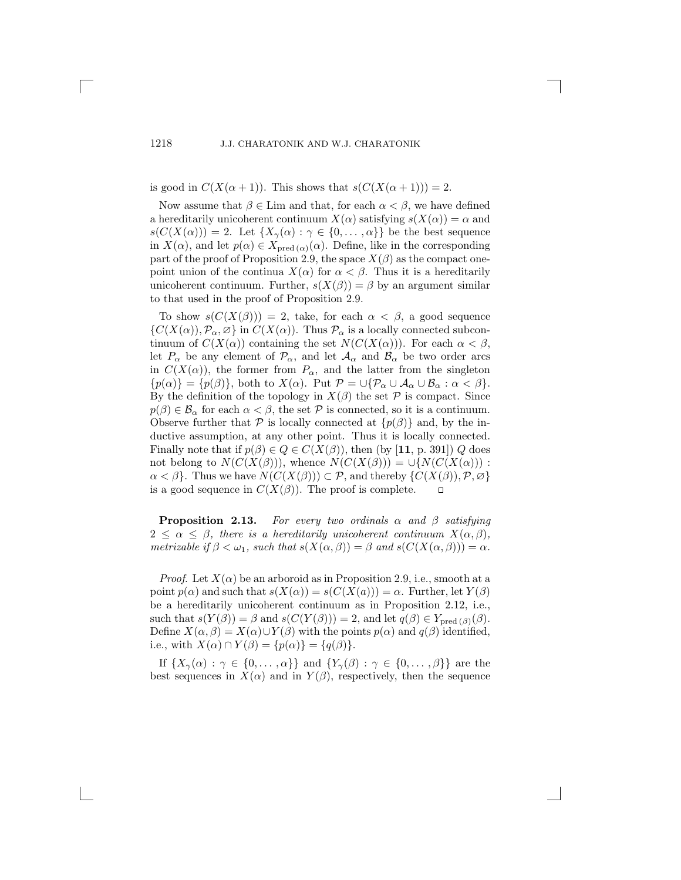is good in  $C(X(\alpha+1))$ . This shows that  $s(C(X(\alpha+1)))=2$ .

Now assume that  $\beta \in \text{Lim}$  and that, for each  $\alpha < \beta$ , we have defined a hereditarily unicoherent continuum  $X(\alpha)$  satisfying  $s(X(\alpha)) = \alpha$  and  $s(C(X(\alpha))) = 2.$  Let  $\{X_{\gamma}(\alpha) : \gamma \in \{0, \ldots, \alpha\}\}\)$  be the best sequence in  $X(\alpha)$ , and let  $p(\alpha) \in X_{\text{pred }(\alpha)}(\alpha)$ . Define, like in the corresponding part of the proof of Proposition 2.9, the space  $X(\beta)$  as the compact onepoint union of the continua  $X(\alpha)$  for  $\alpha < \beta$ . Thus it is a hereditarily unicoherent continuum. Further,  $s(X(\beta)) = \beta$  by an argument similar to that used in the proof of Proposition 2.9.

To show  $s(C(X(\beta))) = 2$ , take, for each  $\alpha < \beta$ , a good sequence  $\{C(X(\alpha)), \mathcal{P}_{\alpha}, \emptyset\}$  in  $C(X(\alpha))$ . Thus  $\mathcal{P}_{\alpha}$  is a locally connected subcontinuum of  $C(X(\alpha))$  containing the set  $N(C(X(\alpha)))$ . For each  $\alpha < \beta$ , let  $P_{\alpha}$  be any element of  $\mathcal{P}_{\alpha}$ , and let  $\mathcal{A}_{\alpha}$  and  $\mathcal{B}_{\alpha}$  be two order arcs in  $C(X(\alpha))$ , the former from  $P_{\alpha}$ , and the latter from the singleton  $\{p(\alpha)\} = \{p(\beta)\}\$ , both to  $X(\alpha)$ . Put  $\mathcal{P} = \bigcup \{\mathcal{P}_{\alpha} \cup \mathcal{A}_{\alpha} \cup \mathcal{B}_{\alpha} : \alpha < \beta\}.$ By the definition of the topology in  $X(\beta)$  the set  $\mathcal P$  is compact. Since  $p(\beta) \in \mathcal{B}_{\alpha}$  for each  $\alpha < \beta$ , the set P is connected, so it is a continuum. Observe further that  $P$  is locally connected at  $\{p(\beta)\}\$  and, by the inductive assumption, at any other point. Thus it is locally connected. Finally note that if  $p(\beta) \in Q \in C(X(\beta))$ , then (by [11, p. 391]) Q does not belong to  $N(C(X(\beta)))$ , whence  $N(C(X(\beta))) = \bigcup \{N(C(X(\alpha)))$ :  $\alpha < \beta$ . Thus we have  $N(C(X(\beta))) \subset \mathcal{P}$ , and thereby  $\{C(X(\beta)), \mathcal{P}, \varnothing\}$  is a good sequence in  $C(X(\beta))$ . The proof is complete. is a good sequence in  $C(X(\beta))$ . The proof is complete.

**Proposition 2.13.** *For every two ordinals*  $\alpha$  *and*  $\beta$  *satisfying*<br> $\leq \alpha \leq \beta$  *there is a hereditarily unicoherent continuum*  $X(\alpha, \beta)$  $2 \leq \alpha \leq \beta$ , there is a hereditarily unicoherent continuum  $X(\alpha, \beta)$ ,<br>metrizable if  $\beta \leq \omega$ , such that  $s(X(\alpha, \beta)) = \beta$  and  $s(C(X(\alpha, \beta))) = \alpha$ *metrizable if*  $\beta < \omega_1$ *, such that*  $s(X(\alpha, \beta)) = \beta$  *and*  $s(C(X(\alpha, \beta))) = \alpha$ *.* 

*Proof.* Let  $X(\alpha)$  be an arboroid as in Proposition 2.9, i.e., smooth at a point  $p(\alpha)$  and such that  $s(X(\alpha)) = s(C(X(\alpha))) = \alpha$ . Further, let  $Y(\beta)$ be a hereditarily unicoherent continuum as in Proposition 2.12, i.e., such that  $s(Y(\beta)) = \beta$  and  $s(C(Y(\beta))) = 2$ , and let  $q(\beta) \in Y_{\text{pred }(\beta)}(\beta)$ . Define  $X(\alpha, \beta) = X(\alpha) \cup Y(\beta)$  with the points  $p(\alpha)$  and  $q(\beta)$  identified, i.e., with  $X(\alpha) \cap Y(\beta) = \{p(\alpha)\} = \{q(\beta)\}.$ 

If  $\{X_{\gamma}(\alpha):\gamma\in\{0,\ldots,\alpha\}\}\$ and  $\{Y_{\gamma}(\beta):\gamma\in\{0,\ldots,\beta\}\}\$ are the best sequences in  $X(\alpha)$  and in  $Y(\beta)$ , respectively, then the sequence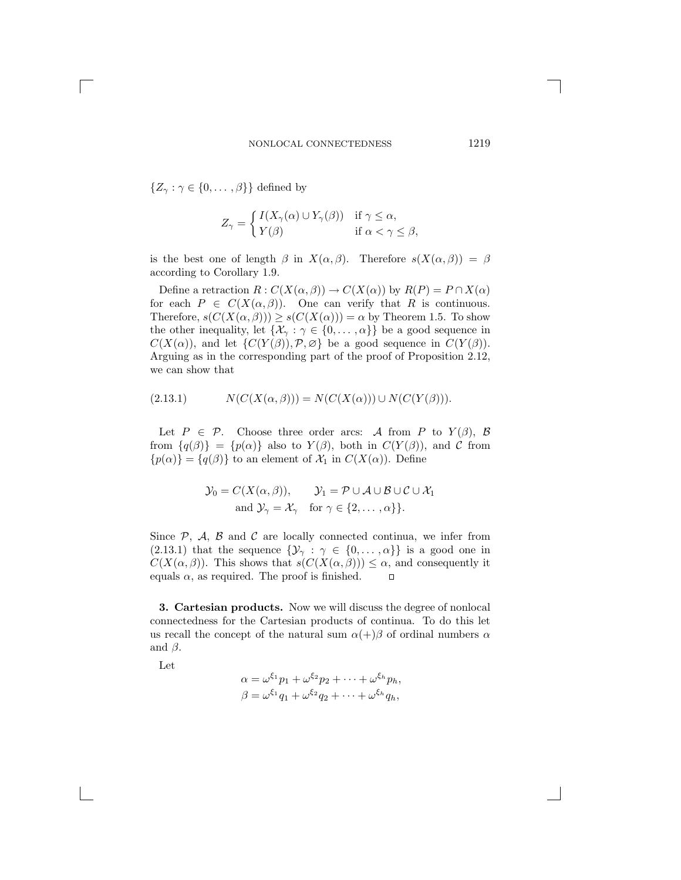$\{Z_{\gamma} : \gamma \in \{0, \dots, \beta\}\}\$  defined by

$$
Z_{\gamma} = \begin{cases} I(X_{\gamma}(\alpha) \cup Y_{\gamma}(\beta)) & \text{if } \gamma \leq \alpha, \\ Y(\beta) & \text{if } \alpha < \gamma \leq \beta, \end{cases}
$$

is the best one of length  $\beta$  in  $X(\alpha, \beta)$ . Therefore  $s(X(\alpha, \beta)) = \beta$ according to Corollary 1.9.

Define a retraction  $R: C(X(\alpha, \beta)) \to C(X(\alpha))$  by  $R(P) = P \cap X(\alpha)$ for each  $P \in C(X(\alpha, \beta))$ . One can verify that R is continuous. Therefore,  $s(C(X(\alpha,\beta))) \geq s(C(X(\alpha))) = \alpha$  by Theorem 1.5. To show the other inequality, let  $\{\mathcal{X}_{\gamma} : \gamma \in \{0, \dots, \alpha\}\}\)$  be a good sequence in  $C(X(\alpha))$ , and let  $\{C(Y(\beta)), \mathcal{P}, \varnothing\}$  be a good sequence in  $C(Y(\beta))$ . Arguing as in the corresponding part of the proof of Proposition 2.12, we can show that

(2.13.1) 
$$
N(C(X(\alpha,\beta))) = N(C(X(\alpha))) \cup N(C(Y(\beta))).
$$

Let  $P \in \mathcal{P}$ . Choose three order arcs: A from P to  $Y(\beta)$ , B from  $\{q(\beta)\} = \{p(\alpha)\}\$ also to  $Y(\beta)$ , both in  $C(Y(\beta))$ , and  $C$  from  $\{p(\alpha)\} = \{q(\beta)\}\$ to an element of  $\mathcal{X}_1$  in  $C(X(\alpha))$ . Define

$$
\mathcal{Y}_0 = C(X(\alpha, \beta)), \qquad \mathcal{Y}_1 = \mathcal{P} \cup \mathcal{A} \cup \mathcal{B} \cup \mathcal{C} \cup \mathcal{X}_1
$$
  
and 
$$
\mathcal{Y}_\gamma = \mathcal{X}_\gamma \quad \text{for } \gamma \in \{2, ..., \alpha\}\}.
$$

Since  $P$ ,  $A$ ,  $B$  and  $C$  are locally connected continua, we infer from (2.13.1) that the sequence  $\{\mathcal{Y}_{\gamma} : \gamma \in \{0, \ldots, \alpha\}\}\$ is a good one in  $C(X(\alpha, \beta))$ . This shows that  $s(C(X(\alpha, \beta))) \leq \alpha$ , and consequently it equals  $\alpha$ , as required. The proof is finished. equals  $\alpha$ , as required. The proof is finished.

**3. Cartesian products.** Now we will discuss the degree of nonlocal connectedness for the Cartesian products of continua. To do this let us recall the concept of the natural sum  $\alpha(+)\beta$  of ordinal numbers  $\alpha$ and  $\beta$ .

Let

$$
\alpha = \omega^{\xi_1} p_1 + \omega^{\xi_2} p_2 + \dots + \omega^{\xi_h} p_h,
$$
  

$$
\beta = \omega^{\xi_1} q_1 + \omega^{\xi_2} q_2 + \dots + \omega^{\xi_h} q_h,
$$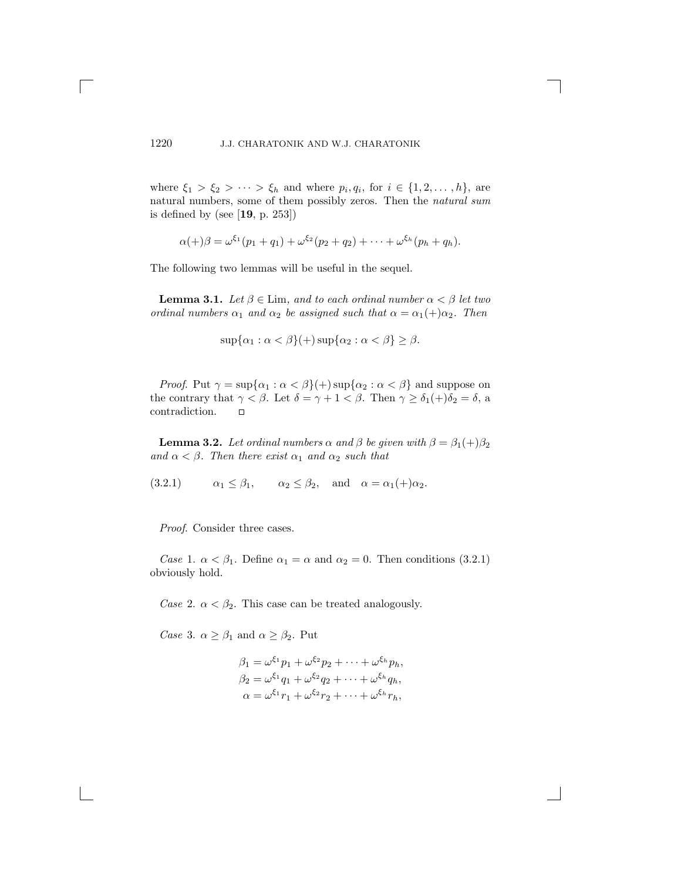where  $\xi_1 > \xi_2 > \cdots > \xi_h$  and where  $p_i, q_i$ , for  $i \in \{1, 2, \ldots, h\}$ , are natural numbers, some of them possibly zeros. Then the *natural sum* is defined by (see [**19**, p. 253])

$$
\alpha(+) \beta = \omega^{\xi_1}(p_1 + q_1) + \omega^{\xi_2}(p_2 + q_2) + \cdots + \omega^{\xi_h}(p_h + q_h).
$$

The following two lemmas will be useful in the sequel.

**Lemma 3.1.** *Let*  $\beta \in \text{Lim}$ *, and to each ordinal number*  $\alpha < \beta$  *let two ordinal numbers*  $\alpha_1$  *and*  $\alpha_2$  *be assigned such that*  $\alpha = \alpha_1(+)\alpha_2$ *. Then* 

$$
\sup\{\alpha_1 : \alpha < \beta\} (+) \sup\{\alpha_2 : \alpha < \beta\} \ge \beta.
$$

*Proof.* Put  $\gamma = \sup{\{\alpha_1 : \alpha < \beta\}}$  +  $\sup{\{\alpha_2 : \alpha < \beta\}}$  and suppose on the contrary that  $\gamma < \beta$ . Let  $\delta = \gamma + 1 < \beta$ . Then  $\gamma \ge \delta_1(+)\delta_2 = \delta$ , a contradiction. contradiction.

**Lemma 3.2.** *Let ordinal numbers*  $\alpha$  *and*  $\beta$  *be given with*  $\beta = \beta_1(+)\beta_2$ *and*  $\alpha < \beta$ *. Then there exist*  $\alpha_1$  *and*  $\alpha_2$  *such that* 

(3.2.1)  $\alpha_1 \leq \beta_1$ ,  $\alpha_2 \leq \beta_2$ , and  $\alpha = \alpha_1(+)\alpha_2$ .

*Proof*. Consider three cases.

*Case* 1.  $\alpha < \beta_1$ . Define  $\alpha_1 = \alpha$  and  $\alpha_2 = 0$ . Then conditions (3.2.1) obviously hold.

*Case* 2.  $\alpha < \beta_2$ . This case can be treated analogously.

*Case* 3.  $\alpha \geq \beta_1$  and  $\alpha \geq \beta_2$ . Put

$$
\beta_1 = \omega^{\xi_1} p_1 + \omega^{\xi_2} p_2 + \dots + \omega^{\xi_h} p_h,
$$
  
\n
$$
\beta_2 = \omega^{\xi_1} q_1 + \omega^{\xi_2} q_2 + \dots + \omega^{\xi_h} q_h,
$$
  
\n
$$
\alpha = \omega^{\xi_1} r_1 + \omega^{\xi_2} r_2 + \dots + \omega^{\xi_h} r_h,
$$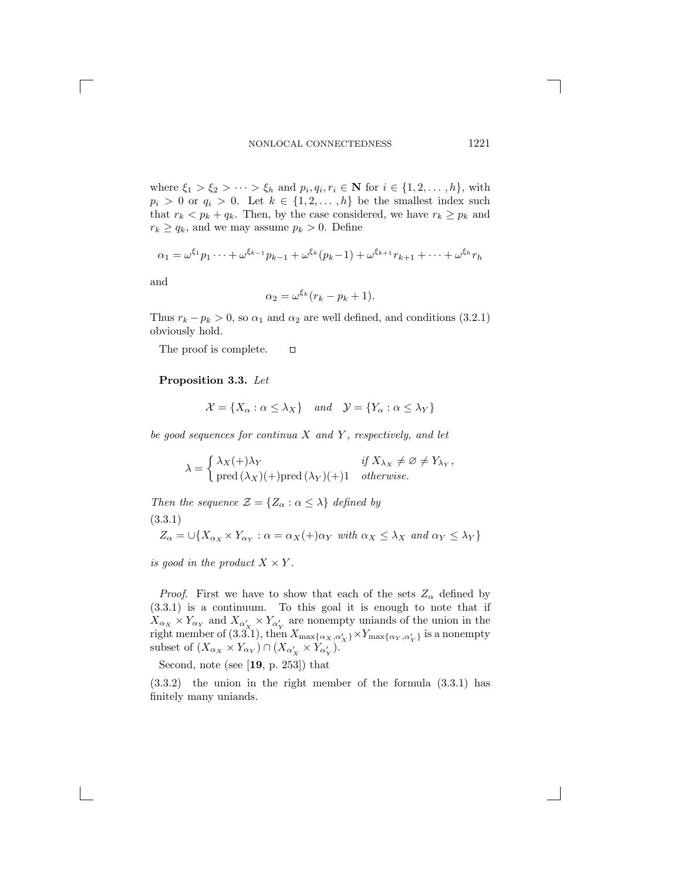where  $\xi_1 > \xi_2 > \cdots > \xi_h$  and  $p_i, q_i, r_i \in \mathbb{N}$  for  $i \in \{1, 2, \ldots, h\}$ , with  $p_i > 0$  or  $q_i > 0$ . Let  $k \in \{1, 2, ..., h\}$  be the smallest index such that  $r_k < p_k + q_k$ . Then, by the case considered, we have  $r_k \geq p_k$  and  $r_k \ge q_k$ , and we may assume  $p_k > 0$ . Define

$$
\alpha_1 = \omega^{\xi_1} p_1 \cdots + \omega^{\xi_{k-1}} p_{k-1} + \omega^{\xi_k} (p_k - 1) + \omega^{\xi_{k+1}} r_{k+1} + \cdots + \omega^{\xi_h} r_h
$$

and

$$
\alpha_2 = \omega^{\xi_k} (r_k - p_k + 1).
$$

Thus  $r_k - p_k > 0$ , so  $\alpha_1$  and  $\alpha_2$  are well defined, and conditions (3.2.1) obviously hold.

The proof is complete.  $\Box$ 

#### **Proposition 3.3.** *Let*

$$
\mathcal{X} = \{X_{\alpha} : \alpha \le \lambda_X\} \quad and \quad \mathcal{Y} = \{Y_{\alpha} : \alpha \le \lambda_Y\}
$$

*be good sequences for continua* X *and* Y *, respectively, and let*

$$
\lambda = \begin{cases} \lambda_X(+) \lambda_Y & \text{if } X_{\lambda_X} \neq \emptyset \neq Y_{\lambda_Y}, \\ \text{pred } (\lambda_X)(+) \text{pred } (\lambda_Y)(+) 1 & otherwise. \end{cases}
$$

*Then the sequence*  $\mathcal{Z} = \{Z_{\alpha} : \alpha \leq \lambda\}$  *defined by* (3.3.1)

$$
Z_{\alpha} = \bigcup \{ X_{\alpha_X} \times Y_{\alpha_Y} : \alpha = \alpha_X(+) \alpha_Y \text{ with } \alpha_X \le \lambda_X \text{ and } \alpha_Y \le \lambda_Y \}
$$

*is good in the product*  $X \times Y$ *.* 

*Proof.* First we have to show that each of the sets  $Z_{\alpha}$  defined by (3.3.1) is a continuum. To this goal it is enough to note that if  $X_{\alpha_X} \times Y_{\alpha_Y}$  and  $X_{\alpha'_X} \times Y_{\alpha'_Y}$  are nonempty uniands of the union in the victor member of (3.3.1), then  $X$ right member of (3.3.1), then  $X_{\max\{\alpha_X, \alpha'_X\}} \times Y_{\max\{\alpha_Y, \alpha'_Y\}}$  is a nonempty subset of  $(X_{\alpha_X} \times Y_{\alpha_Y}) \cap (X_{\alpha'_X} \times Y_{\alpha'_Y}).$ 

Second, note (see [**19**, p. 253]) that

(3.3.2) the union in the right member of the formula (3.3.1) has finitely many uniands.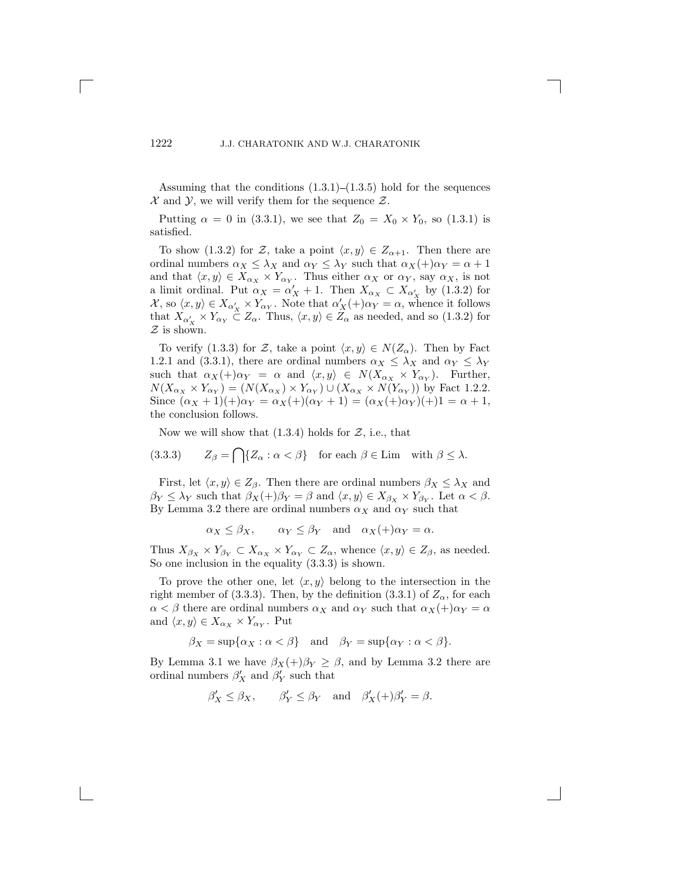Assuming that the conditions  $(1.3.1)$ – $(1.3.5)$  hold for the sequences  $\mathcal X$  and  $\mathcal Y$ , we will verify them for the sequence  $\mathcal Z$ .

Putting  $\alpha = 0$  in (3.3.1), we see that  $Z_0 = X_0 \times Y_0$ , so (1.3.1) is satisfied.

To show (1.3.2) for Z, take a point  $\langle x, y \rangle \in Z_{\alpha+1}$ . Then there are ordinal numbers  $\alpha_X \leq \lambda_X$  and  $\alpha_Y \leq \lambda_Y$  such that  $\alpha_X(+)\alpha_Y = \alpha + 1$ and that  $\langle x, y \rangle \in X_{\alpha_X} \times Y_{\alpha_Y}$ . Thus either  $\alpha_X$  or  $\alpha_Y$ , say  $\alpha_X$ , is not a limit ordinal. Put  $\alpha_X = \alpha'_X + 1$ . Then  $X_{\alpha_X} \subset X_{\alpha'_X}$  by (1.3.2) for  $\mathcal{X}_{\alpha_1} \subset \mathcal{X}_{\alpha'_X} \subset \mathcal{X}_{\alpha'_X}$  by (1.3.2) for  $\mathcal{X},$  so  $\langle x, y \rangle \in X_{\alpha'}$ <br>that  $X \times Y$  $\alpha'_{X} \times Y_{\alpha_{Y}}$ . Note that  $\alpha'_{X}(+) \alpha_{Y} = \alpha$ , whence it follows<br>  $\subset Z$  Thus  $\langle x, y \rangle \in Z$  as needed and so (1.3.2) for that  $X_{\alpha'_X} \times Y_{\alpha_Y} \subset Z_\alpha$ . Thus,  $\langle x, y \rangle \in Z_\alpha$  as needed, and so (1.3.2) for <br>*Z* is shown  $Z$  is shown.

To verify (1.3.3) for Z, take a point  $\langle x, y \rangle \in N(Z_\alpha)$ . Then by Fact 1.2.1 and (3.3.1), there are ordinal numbers  $\alpha_X \leq \lambda_X$  and  $\alpha_Y \leq \lambda_Y$ such that  $\alpha_X(+) \alpha_Y = \alpha$  and  $\langle x, y \rangle \in N(X_{\alpha_X} \times Y_{\alpha_Y})$ . Further,  $N(X_{\alpha_X} \times Y_{\alpha_Y}) = (N(X_{\alpha_X}) \times Y_{\alpha_Y}) \cup (X_{\alpha_X} \times N(Y_{\alpha_Y}))$  by Fact 1.2.2. Since  $(\alpha_X + 1)(\alpha_Y = \alpha_X + ((\alpha_Y + 1) = (\alpha_X + (\alpha_Y)(\alpha_Y + 1)) = \alpha + 1,$ the conclusion follows.

Now we will show that  $(1.3.4)$  holds for  $\mathcal{Z}$ , i.e., that

(3.3.3) 
$$
Z_{\beta} = \bigcap \{ Z_{\alpha} : \alpha < \beta \} \text{ for each } \beta \in \text{Lim} \text{ with } \beta \leq \lambda.
$$

First, let  $\langle x, y \rangle \in Z_{\beta}$ . Then there are ordinal numbers  $\beta_X \leq \lambda_X$  and  $\beta_Y \leq \lambda_Y$  such that  $\beta_X(+) \beta_Y = \beta$  and  $\langle x, y \rangle \in X_{\beta_X} \times Y_{\beta_Y}$ . Let  $\alpha < \beta$ . By Lemma 3.2 there are ordinal numbers  $\alpha_X$  and  $\alpha_Y$  such that

$$
\alpha_X \le \beta_X
$$
,  $\alpha_Y \le \beta_Y$  and  $\alpha_X(+)\alpha_Y = \alpha$ .

Thus  $X_{\beta_X} \times Y_{\beta_Y} \subset X_{\alpha_X} \times Y_{\alpha_Y} \subset Z_{\alpha}$ , whence  $\langle x, y \rangle \in Z_{\beta}$ , as needed. So one inclusion in the equality (3.3.3) is shown.

To prove the other one, let  $\langle x, y \rangle$  belong to the intersection in the right member of (3.3.3). Then, by the definition (3.3.1) of  $Z_{\alpha}$ , for each  $\alpha < \beta$  there are ordinal numbers  $\alpha_X$  and  $\alpha_Y$  such that  $\alpha_X(+)\alpha_Y = \alpha$ and  $\langle x, y \rangle \in X_{\alpha_X} \times Y_{\alpha_Y}$ . Put

$$
\beta_X = \sup{\alpha_X : \alpha < \beta}
$$
 and  $\beta_Y = \sup{\alpha_Y : \alpha < \beta}$ .

By Lemma 3.1 we have  $\beta_X(+) \beta_Y \geq \beta$ , and by Lemma 3.2 there are ordinal numbers  $\beta'_X$  and  $\beta'_Y$  such that

$$
\beta'_X \le \beta_X
$$
,  $\beta'_Y \le \beta_Y$  and  $\beta'_X(+)\beta'_Y = \beta$ .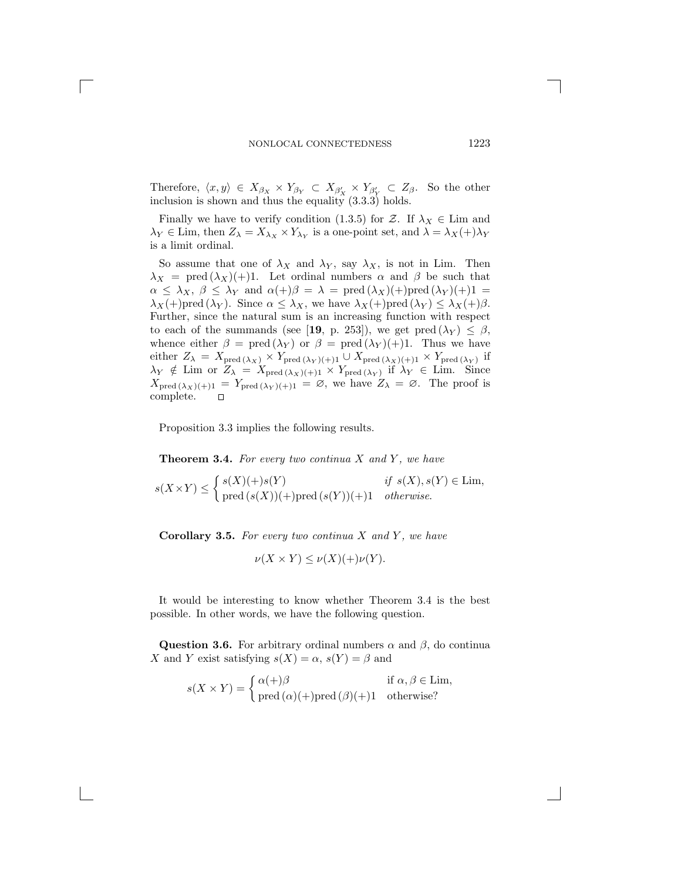Therefore,  $\langle x, y \rangle \in X_{\beta_X} \times Y_{\beta_Y} \subset X_{\beta'_X} \times Y_{\beta'_Y} \subset Z_{\beta}$ . So the other inclusion is shown and thus the equality (3.3.3) holds.

Finally we have to verify condition (1.3.5) for Z. If  $\lambda_X \in \text{Lim}$  and  $\lambda_Y \in \text{Lim, then } Z_{\lambda} = X_{\lambda_X} \times Y_{\lambda_Y}$  is a one-point set, and  $\lambda = \lambda_X(+)\lambda_Y$ is a limit ordinal.

So assume that one of  $\lambda_X$  and  $\lambda_Y$ , say  $\lambda_X$ , is not in Lim. Then  $\lambda_X$  = pred  $(\lambda_X)(+)$ 1. Let ordinal numbers  $\alpha$  and  $\beta$  be such that  $\alpha \leq \lambda_X$ ,  $\beta \leq \lambda_Y$  and  $\alpha(+)\beta = \lambda = \text{pred}(\lambda_X)(+)$  pred  $(\lambda_Y)(+)$ 1 =  $\lambda_X(+)$ pred  $(\lambda_Y)$ . Since  $\alpha \leq \lambda_X$ , we have  $\lambda_X(+)$ pred  $(\lambda_Y) \leq \lambda_X(+)\beta$ . Further, since the natural sum is an increasing function with respect to each of the summands (see [**19**, p. 253]), we get pred  $(\lambda_Y) \leq \beta$ , whence either  $\beta = \text{pred}(\lambda_Y)$  or  $\beta = \text{pred}(\lambda_Y)(+1)$ . Thus we have whence either  $\beta = \text{pred}(\lambda_Y)$  or  $\beta = \text{pred}(\lambda_Y)(+1)$ . Thus we have either  $Z_{\lambda} = X_{\text{pred}}(\lambda_X) \times Y_{\text{pred}}(\lambda_Y)(+)$ 1  $\cup X_{\text{pred}}(\lambda_X)(+)$ 1  $\times Y_{\text{pred}}(\lambda_Y)$  if  $\lambda_Y \notin \text{Lim or } Z_{\lambda} = X_{\text{pred }(\lambda_X)(+1)} \times Y_{\text{pred }(\lambda_Y)}$  if  $\lambda_Y \in \text{Lim. Since}$ <br> $X_{\lambda_1} \times \lambda_2 \times \dots \times Y_{\lambda_N} = \emptyset$  we have  $Z_{\lambda_1} = \emptyset$ . The proof is  $X_{\text{pred}(\lambda_X)(+1)} = Y_{\text{pred}(\lambda_Y)(+1)} = \emptyset$ , we have  $Z_{\lambda} = \emptyset$ . The proof is complete.

Proposition 3.3 implies the following results.

**Theorem 3.4.** For every two continua X and Y, we have

$$
s(X \times Y) \leq \begin{cases} s(X)(+)s(Y) & \text{if } s(X), s(Y) \in \text{Lim,} \\ \text{pred } (s(X)) (+) \text{pred } (s(Y)) (+) 1 & otherwise. \end{cases}
$$

**Corollary 3.5.** *For every two continua* X *and* Y *, we have*

$$
\nu(X \times Y) \le \nu(X)(+)\nu(Y).
$$

It would be interesting to know whether Theorem 3.4 is the best possible. In other words, we have the following question.

**Question 3.6.** For arbitrary ordinal numbers  $\alpha$  and  $\beta$ , do continual X and Y exist satisfying  $s(X) = \alpha$ ,  $s(Y) = \beta$  and

$$
s(X \times Y) = \begin{cases} \alpha(+)\beta & \text{if } \alpha, \beta \in \text{Lim}, \\ \text{pred } (\alpha)(+)\text{pred } (\beta)(+)1 & \text{otherwise} \end{cases}
$$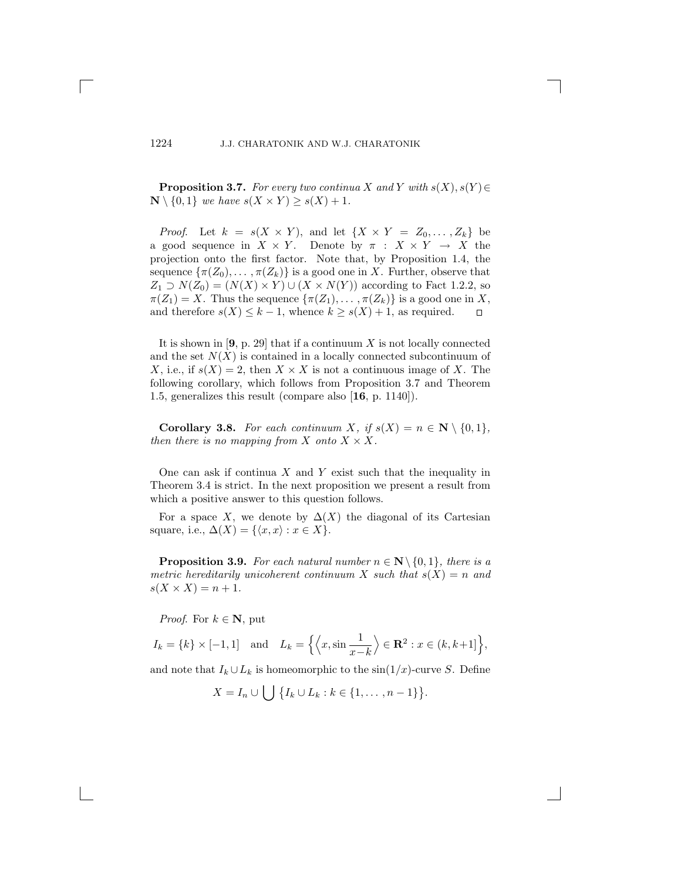**Proposition 3.7.** *For every two continua* X and Y with  $s(X), s(Y) \in$  $\mathbb{N} \setminus \{0, 1\}$  *we have*  $s(X \times Y) \geq s(X) + 1$ *.* 

*Proof.* Let  $k = s(X \times Y)$ , and let  $\{X \times Y = Z_0, \ldots, Z_k\}$  be a good sequence in  $X \times Y$ . Denote by  $\pi : X \times Y \to X$  the projection onto the first factor. Note that, by Proposition 1.4, the sequence  $\{\pi(Z_0),\ldots,\pi(Z_k)\}\$ is a good one in X. Further, observe that  $Z_1 \supset N(Z_0)=(N(X)\times Y) \cup (X\times N(Y))$  according to Fact 1.2.2, so  $\pi(Z_1) = X$ . Thus the sequence  $\{\pi(Z_1), \ldots, \pi(Z_k)\}\$  is a good one in X, and therefore  $s(X) \leq k - 1$ , whence  $k \geq s(X) + 1$ , as required.  $\Box$ and therefore  $s(X) \leq k-1$ , whence  $k \geq s(X) + 1$ , as required.

It is shown in  $[9, p. 29]$  that if a continuum X is not locally connected and the set  $N(X)$  is contained in a locally connected subcontinuum of X, i.e., if  $s(X) = 2$ , then  $X \times X$  is not a continuous image of X. The following corollary, which follows from Proposition 3.7 and Theorem 1.5, generalizes this result (compare also [**16**, p. 1140]).

**Corollary 3.8.** *For each continuum X, if*  $s(X) = n \in \mathbb{N} \setminus \{0, 1\}$ *, then there is no mapping from* X *onto*  $X \times X$ .

One can ask if continua  $X$  and  $Y$  exist such that the inequality in Theorem 3.4 is strict. In the next proposition we present a result from which a positive answer to this question follows.

For a space X, we denote by  $\Delta(X)$  the diagonal of its Cartesian square, i.e.,  $\Delta(X) = \{ \langle x, x \rangle : x \in X \}.$ 

**Proposition 3.9.** *For each natural number*  $n \in \mathbb{N} \setminus \{0, 1\}$ *, there is a metric hereditarily unicoherent continuum* X *such that*  $s(X) = n$  *and*  $s(X \times X) = n + 1.$ 

*Proof.* For  $k \in \mathbb{N}$ , put

 $I_k = \{k\} \times [-1, 1]$  and  $L_k = \left\{ \left\langle x, \sin \frac{1}{x - 1} \right\} \right\}$  $\frac{x-k}{\cdot}$  $\Big\} \in \mathbf{R}^2 : x \in (k, k+1] \Big\},\,$ 

and note that  $I_k \cup L_k$  is homeomorphic to the sin $(1/x)$ -curve S. Define

 $X = I_n \cup \bigcup \{I_k \cup L_k : k \in \{1, ..., n-1\}\}\$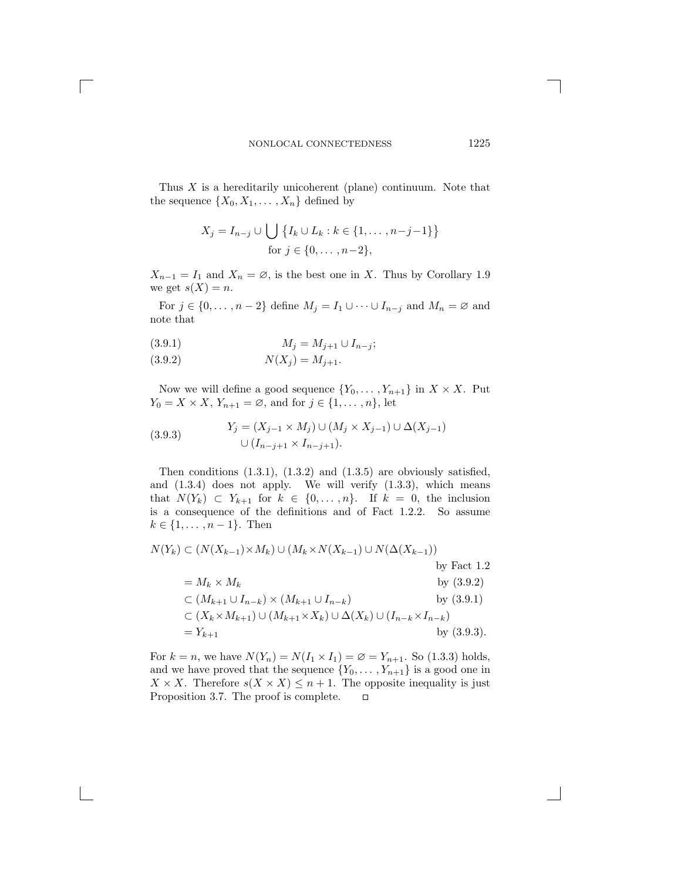Thus  $X$  is a hereditarily unicoherent (plane) continuum. Note that the sequence  $\{X_0, X_1, \ldots, X_n\}$  defined by

$$
X_j = I_{n-j} \cup \bigcup \{ I_k \cup L_k : k \in \{1, ..., n-j-1\} \}
$$
  
for  $j \in \{0, ..., n-2\}$ ,

 $X_{n-1} = I_1$  and  $X_n = \emptyset$ , is the best one in X. Thus by Corollary 1.9 we get  $s(X) = n$ .

For  $j \in \{0, \ldots, n-2\}$  define  $M_j = I_1 \cup \cdots \cup I_{n-j}$  and  $M_n = \emptyset$  and note that

(3.9.1) 
$$
M_j = M_{j+1} \cup I_{n-j};
$$

(3.9.2) 
$$
N(X_j) = M_{j+1}.
$$

Now we will define a good sequence  $\{Y_0, \ldots, Y_{n+1}\}$  in  $X \times X$ . Put  $Y_0 = X \times X$ ,  $Y_{n+1} = \emptyset$ , and for  $j \in \{1, \ldots, n\}$ , let

(3.9.3) 
$$
Y_j = (X_{j-1} \times M_j) \cup (M_j \times X_{j-1}) \cup \Delta(X_{j-1})
$$

$$
\cup (I_{n-j+1} \times I_{n-j+1}).
$$

Then conditions  $(1.3.1)$ ,  $(1.3.2)$  and  $(1.3.5)$  are obviously satisfied, and  $(1.3.4)$  does not apply. We will verify  $(1.3.3)$ , which means that  $N(Y_k) \subset Y_{k+1}$  for  $k \in \{0, \ldots, n\}$ . If  $k = 0$ , the inclusion is a consequence of the definitions and of Fact 1.2.2. So assume  $k \in \{1, ..., n-1\}$ . Then

$$
N(Y_k) \subset (N(X_{k-1}) \times M_k) \cup (M_k \times N(X_{k-1}) \cup N(\Delta(X_{k-1}))
$$
  
\nby Fact 1.2  
\n
$$
= M_k \times M_k
$$
  
\nby (3.9.2)  
\n
$$
\subset (M_{k+1} \cup I_{n-k}) \times (M_{k+1} \cup I_{n-k})
$$
  
\n
$$
\subset (X_k \times M_{k+1}) \cup (M_{k+1} \times X_k) \cup \Delta(X_k) \cup (I_{n-k} \times I_{n-k})
$$
  
\n
$$
= Y_{k+1}
$$
  
\nby (3.9.3).

For  $k = n$ , we have  $N(Y_n) = N(I_1 \times I_1) = \emptyset = Y_{n+1}$ . So (1.3.3) holds, and we have proved that the sequence  $\{Y_0, \ldots, Y_{n+1}\}$  is a good one in  $X \times X$ . Therefore  $s(X \times X) \leq n+1$ . The opposite inequality is just Proposition 3.7. The proof is complete.  $\Box$ Proposition 3.7. The proof is complete.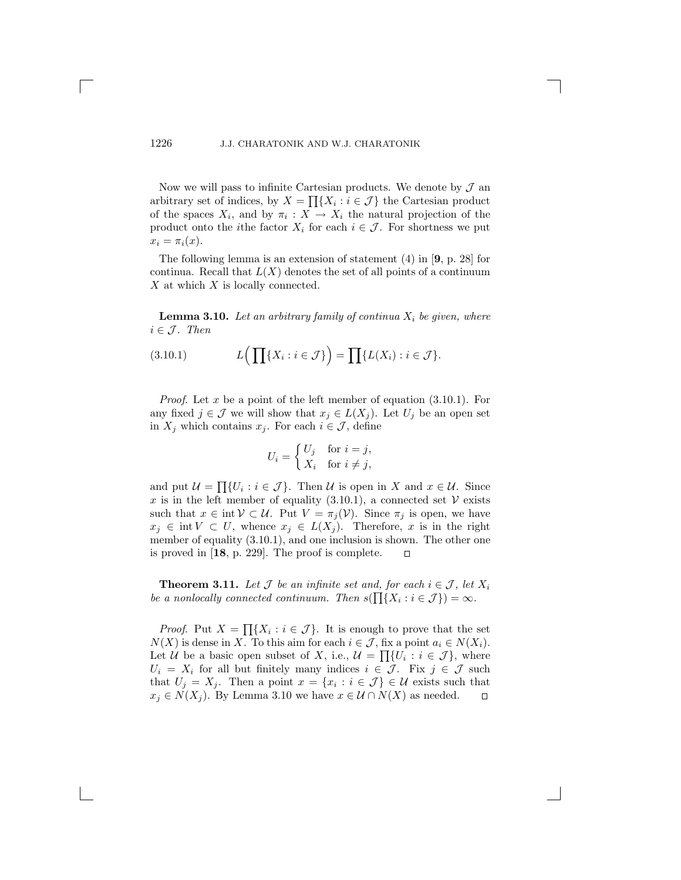Now we will pass to infinite Cartesian products. We denote by  $\mathcal{J}$  and arbitrary set of indices, by  $X = \prod\{X_i : i \in \mathcal{J}\}\)$  the Cartesian product of the spaces  $X_i$ , and by  $\pi_i : X \to X_i$  the natural projection of the product onto the *i*the factor  $X_i$  for each  $i \in \mathcal{J}$ . For shortness we put  $x_i = \pi_i(x)$ .

The following lemma is an extension of statement (4) in [**9**, p. 28] for continua. Recall that  $L(X)$  denotes the set of all points of a continuum  $X$  at which  $X$  is locally connected.

**Lemma 3.10.** Let an arbitrary family of continua  $X_i$  be given, where  $i \in \mathcal{J}$ *.* Then

(3.10.1) 
$$
L\left(\prod\{X_i : i \in \mathcal{J}\}\right) = \prod\{L(X_i) : i \in \mathcal{J}\}.
$$

*Proof.* Let x be a point of the left member of equation  $(3.10.1)$ . For any fixed  $j \in \mathcal{J}$  we will show that  $x_j \in L(X_j)$ . Let  $U_j$  be an open set in  $X_j$  which contains  $x_j$ . For each  $i \in \mathcal{J}$ , define

$$
U_i = \begin{cases} U_j & \text{for } i = j, \\ X_i & \text{for } i \neq j, \end{cases}
$$

and put  $\mathcal{U} = \prod \{U_i : i \in \mathcal{J}\}\.$  Then  $\mathcal{U}$  is open in X and  $x \in \mathcal{U}$ . Since x is in the left member of equality (3.10.1), a connected set  $V$  exists such that  $x \in \text{int } V \subset U$ . Put  $V = \pi_j(V)$ . Since  $\pi_j$  is open, we have  $x_j \in \text{int } V \subset U$ , whence  $x_j \in L(X_j)$ . Therefore, x is in the right member of equality  $(3.10.1)$ , and one inclusion is shown. The other one is proved in [**18**, p. 229]. The proof is complete.  $\mathsf{r}$ 

**Theorem 3.11.** Let  $\mathcal J$  be an infinite set and, for each  $i \in \mathcal J$ , let  $X_i$ *be a nonlocally connected continuum. Then*  $s(\prod\{X_i : i \in \mathcal{J}\}) = \infty$ *.* 

*Proof.* Put  $X = \prod\{X_i : i \in \mathcal{J}\}\.$  It is enough to prove that the set  $N(X)$  is dense in X. To this aim for each  $i \in \mathcal{J}$ , fix a point  $a_i \in N(X_i)$ . Let U be a basic open subset of X, i.e.,  $\mathcal{U} = \prod \{U_i : i \in \mathcal{J}\}\,$ , where  $U_i = X_i$  for all but finitely many indices  $i \in \mathcal{J}$ . Fix  $j \in \mathcal{J}$  such that  $U_j = X_j$ . Then a point  $x = \{x_i : i \in \mathcal{J}\}\in \mathcal{U}$  exists such that  $x_j \in N(X_j)$ . By Lemma 3.10 we have  $x \in \mathcal{U} \cap N(X)$  as needed.  $\Box$  $x_j \in N(X_j)$ . By Lemma 3.10 we have  $x \in \mathcal{U} \cap N(X)$  as needed.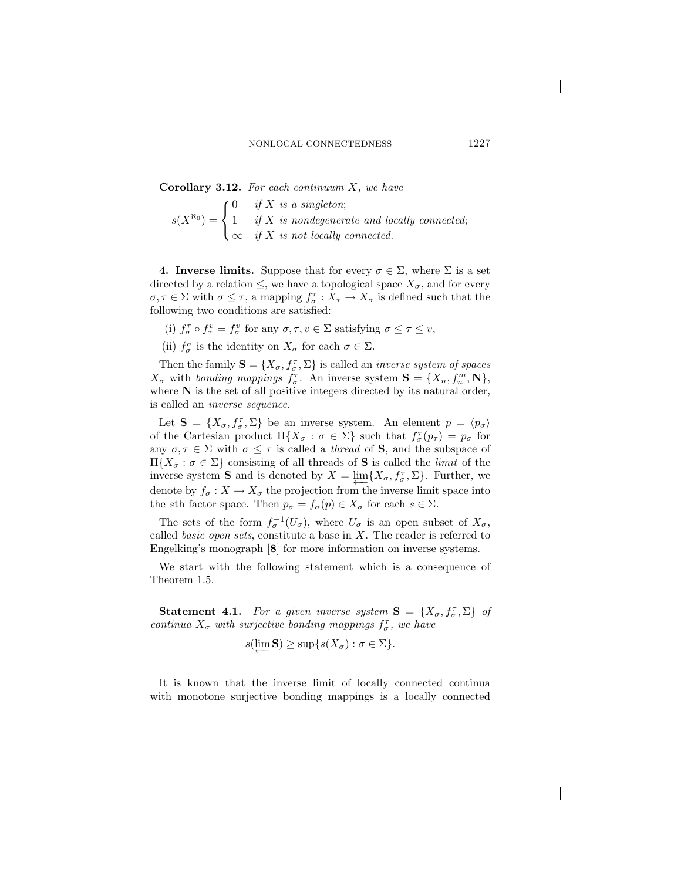**Corollary 3.12.** *For each continuum* X*, we have*

$$
s(X^{\aleph_0}) = \begin{cases} 0 & \text{if } X \text{ is a singleton;} \\ 1 & \text{if } X \text{ is nondegenerate and locally connected;} \\ \infty & \text{if } X \text{ is not locally connected.} \end{cases}
$$

**4. Inverse limits.** Suppose that for every  $\sigma \in \Sigma$ , where  $\Sigma$  is a set directed by a relation  $\leq$ , we have a topological space  $X_{\sigma}$ , and for every  $\sigma, \tau \in \Sigma$  with  $\sigma \leq \tau$ , a mapping  $f_{\sigma}^{\tau}: X_{\tau} \to X_{\sigma}$  is defined such that the following two conditions are satisfied: following two conditions are satisfied:

(i)  $f_{\sigma}^{\tau} \circ f_{\tau}^{v} = f_{\sigma}^{v}$  for any  $\sigma, \tau, v \in \Sigma$  satisfying  $\sigma \leq \tau \leq v$ ,

(ii)  $f_{\sigma}^{\sigma}$  is the identity on  $X_{\sigma}$  for each  $\sigma \in \Sigma$ .

Then the family  $\mathbf{S} = \{X_{\sigma}, f_{\sigma}^{\tau}, \Sigma\}$  is called an *inverse system of spaces* with *honding mannings*  $f^{\tau}$  An inverse system  $\mathbf{S} = \{X, f^m, \mathbf{N}\}$  $X_{\sigma}$  with *bonding mappings*  $f_{\sigma}^{\tau}$ . An inverse system  $\mathbf{S} = \{X_n, f_n^m, \mathbf{N}\},$ <br>where  $\mathbf{N}$  is the set of all positive integers directed by its natural order where **N** is the set of all positive integers directed by its natural order, is called an *inverse sequence*.

Let  $\mathbf{S} = \{X_{\sigma}, f_{\sigma}^{\tau}, \Sigma\}$  be an inverse system. An element  $p = \langle p_{\sigma} \rangle$ <br>the Cartesian product  $\Pi X : \sigma \in \Sigma\}$  such that  $f^{\tau}(n) = n$  for of the Cartesian product  $\Pi\{X_{\sigma} : \sigma \in \Sigma\}$  such that  $f_{\sigma}^{\tau}(p_{\tau}) = p_{\sigma}$  for  $p_{\sigma}$  for  $\sigma \in \Sigma$  with  $\sigma \leq \tau$  is called a *thread* of **S** and the subspace of any  $\sigma, \tau \in \Sigma$  with  $\sigma \leq \tau$  is called a *thread* of **S**, and the subspace of <sup>Π</sup>{X<sup>σ</sup> : <sup>σ</sup> <sup>∈</sup> <sup>Σ</sup>} consisting of all threads of **<sup>S</sup>** is called the *limit* of the inverse system **S** and is denoted by  $X = \lim_{\epsilon \to 0} \{X_{\sigma}, f_{\sigma}, \Sigma\}$ . Further, we denote by  $f_{\sigma}$ ,  $Y_{\sigma}$ , the president from the inverse limit grace into denote by  $f_{\sigma}: X \to X_{\sigma}$  the projection from the inverse limit space into the sth factor space. Then  $p_{\sigma} = f_{\sigma}(p) \in X_{\sigma}$  for each  $s \in \Sigma$ .

The sets of the form  $f_{\sigma}^{-1}(U_{\sigma})$ , where  $U_{\sigma}$  is an open subset of  $X_{\sigma}$ , called *basic open sets*, constitute a base in X. The reader is referred to Engelking's monograph [**8**] for more information on inverse systems.

We start with the following statement which is a consequence of Theorem 1.5.

**Statement 4.1.** For a given inverse system  $\mathbf{S} = \{X_{\sigma}, f_{\sigma}^{\tau}, \Sigma\}$  of primary  $X$ , with symicling bonding mannings  $f_{\sigma}$  are have *continua*  $X_{\sigma}$  *with surjective bonding mappings*  $f_{\sigma}^{\tau}$ , *we have* 

$$
s(\underleftarrow{\lim} \mathbf{S}) \geq \sup\{s(X_{\sigma}) : \sigma \in \Sigma\}.
$$

It is known that the inverse limit of locally connected continua with monotone surjective bonding mappings is a locally connected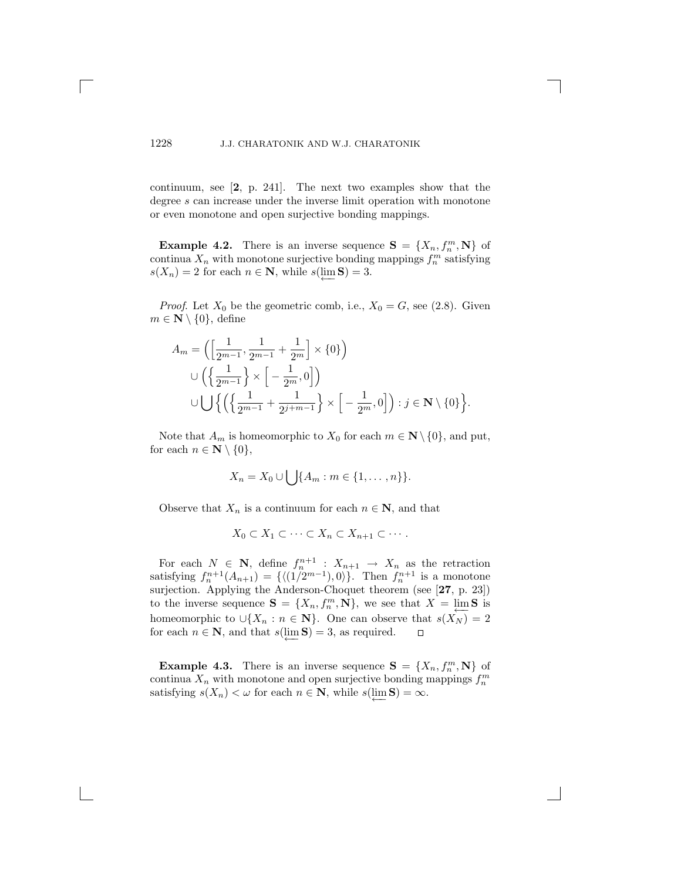continuum, see [**2**, p. 241]. The next two examples show that the degree s can increase under the inverse limit operation with monotone or even monotone and open surjective bonding mappings.

**Example 4.2.** There is an inverse sequence  $\mathbf{S} = \{X_n, f_n^m, \mathbf{N}\}\$  of particular X, with monotone surjective bonding mannings  $f^m$  satisfying continua  $X_n$  with monotone surjective bonding mappings  $f_n^m$  satisfying  $s(X) = 2$  for each  $n \in \mathbb{N}$  while  $s(\lim S) = 3$  $s(X_n) = 2$  for each  $n \in \mathbb{N}$ , while  $s(\underleftarrow{\lim}_{n} S) = 3$ .

*Proof.* Let  $X_0$  be the geometric comb, i.e.,  $X_0 = G$ , see (2.8). Given  $m \in \mathbb{N} \setminus \{0\}$ , define

$$
A_m = \left( \left[ \frac{1}{2^{m-1}}, \frac{1}{2^{m-1}} + \frac{1}{2^m} \right] \times \{0\} \right)
$$
  

$$
\cup \left( \left\{ \frac{1}{2^{m-1}} \right\} \times \left[ -\frac{1}{2^m}, 0 \right] \right)
$$
  

$$
\cup \bigcup \left\{ \left( \left\{ \frac{1}{2^{m-1}} + \frac{1}{2^{j+m-1}} \right\} \times \left[ -\frac{1}{2^m}, 0 \right] \right) : j \in \mathbb{N} \setminus \{0\} \right\}.
$$

Note that  $A_m$  is homeomorphic to  $X_0$  for each  $m \in \mathbb{N} \setminus \{0\}$ , and put, for each  $n \in \mathbb{N} \setminus \{0\},\$ 

$$
X_n = X_0 \cup \bigcup \{A_m : m \in \{1, \ldots, n\}\}.
$$

Observe that  $X_n$  is a continuum for each  $n \in \mathbb{N}$ , and that

$$
X_0 \subset X_1 \subset \cdots \subset X_n \subset X_{n+1} \subset \cdots.
$$

For each  $N \in \mathbb{N}$ , define  $f_n^{n+1}$  :  $X_{n+1} \to X_n$  as the retraction tisfying  $f^{n+1}(A_{n+1}) = f((1/2^{m-1}) \cap \mathbb{N})$ . Then  $f^{n+1}$  is a monotone satisfying  $f_n^{n+1}(A_{n+1}) = \{ \langle (1/2^{m-1}), 0 \rangle \}$ . Then  $f_n^{n+1}$  is a monotone<br>surjection Applying the Anderson-Choquet theorem (see [27, p. 23]) surjection. Applying the Anderson-Choquet theorem (see [**27**, p. 23]) to the inverse sequence  $\mathbf{S} = \{X_n, f_n^m, \mathbf{N}\}\)$ , we see that  $X = \lim_{k \to \infty} \mathbf{S}$  is homeomorphic to  $\cup \{X_n : n \in \mathbb{N}\}$ . One can observe that  $s(X_N) = 2$  for each  $n \in \mathbb{N}$ , and that  $s(\lim S) = 3$ , as required.  $\Box$ for each  $n \in \mathbb{N}$ , and that  $s(\underleftarrow{\lim}_{n} \mathbf{S}) = 3$ , as required.

**Example 4.3.** There is an inverse sequence  $S = \{X_n, f_n^m, N\}$  of primary  $X$ , with monotone and open surjective bonding mappings  $f^m$ continua  $X_n$  with monotone and open surjective bonding mappings  $f_n^m$ <br>satisfying  $s(X) \leq \omega$  for each  $n \in \mathbb{N}$  while  $s(\lim S) = \infty$ satisfying  $s(X_n) < \omega$  for each  $n \in \mathbb{N}$ , while  $s(\underleftarrow{\lim}_{n} \mathbf{S}) = \infty$ .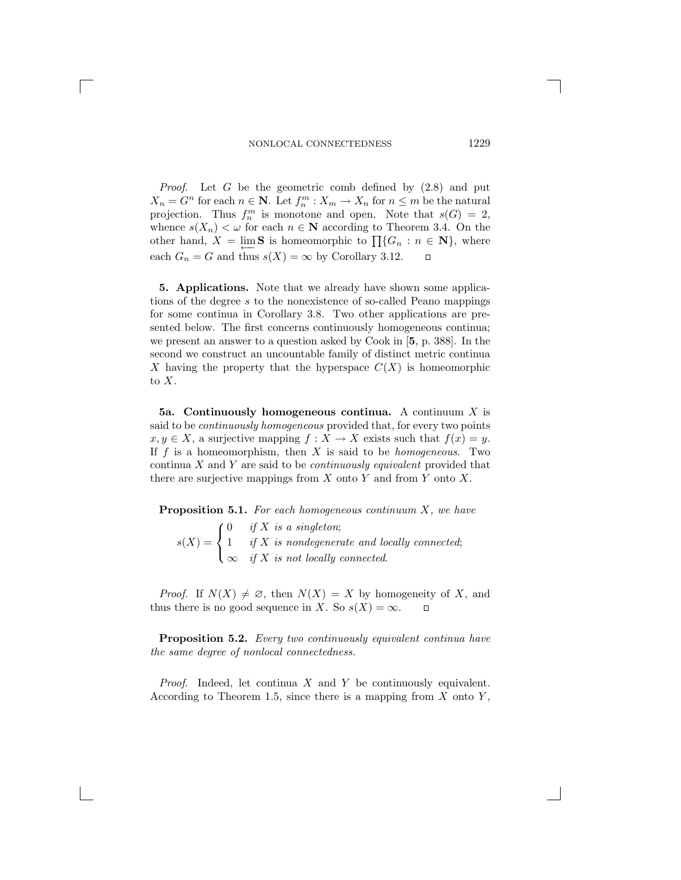*Proof*. Let G be the geometric comb defined by (2.8) and put  $X_n = G^n$  for each  $n \in \mathbb{N}$ . Let  $f_n^m : X_m \to X_n$  for  $n \leq m$  be the natural<br>projection. Thus  $f^m$  is monotone and open. Note that  $s(G) = 2$ projection. Thus  $f_n^m$  is monotone and open. Note that  $s(G) = 2$ ,<br>whence  $s(X) \leq \omega$  for each  $n \in \mathbb{N}$  according to Theorem 3.4. On the whence  $s(X_n) < \omega$  for each  $n \in \mathbb{N}$  according to Theorem 3.4. On the other hand,  $X = \lim_{n \to \infty} S$  is homeomorphic to  $\prod_{n=1}$ { $G_n : n \in \mathbb{N}$ }, where each  $G_n = G$  and thus  $s(X) = \infty$  by Corollary 3.12. □ each  $G_n = G$  and thus  $s(X) = \infty$  by Corollary 3.12.

**5. Applications.** Note that we already have shown some applications of the degree s to the nonexistence of so-called Peano mappings for some continua in Corollary 3.8. Two other applications are presented below. The first concerns continuously homogeneous continua; we present an answer to a question asked by Cook in [**5**, p. 388]. In the second we construct an uncountable family of distinct metric continua X having the property that the hyperspace  $C(X)$  is homeomorphic to X.

**5a. Continuously homogeneous continua.** A continuum X is said to be *continuously homogeneous* provided that, for every two points  $x, y \in X$ , a surjective mapping  $f: X \to X$  exists such that  $f(x) = y$ . If  $f$  is a homeomorphism, then  $X$  is said to be *homogeneous*. Two continua X and Y are said to be *continuously equivalent* provided that there are surjective mappings from  $X$  onto  $Y$  and from  $Y$  onto  $X$ .

**Proposition 5.1.** *For each homogeneous continuum* X*, we have*

 $s(X) =$  $\sqrt{ }$ Į  $\mathcal{L}$ 0 *if* X *is a singleton*; 1 *if* X is nondegenerate and locally connected;<br> $\frac{d}{dx}$  X is not locally connected. <sup>∞</sup> *if* X *is not locally connected*.

*Proof.* If  $N(X) \neq \emptyset$ , then  $N(X) = X$  by homogeneity of X, and nus there is no good sequence in X. So  $s(X) = \infty$ . thus there is no good sequence in X. So  $s(X) = \infty$ .

**Proposition 5.2.** *Every two continuously equivalent continua have the same degree of nonlocal connectedness.*

*Proof.* Indeed, let continua X and Y be continuously equivalent. According to Theorem 1.5, since there is a mapping from  $X$  onto  $Y$ ,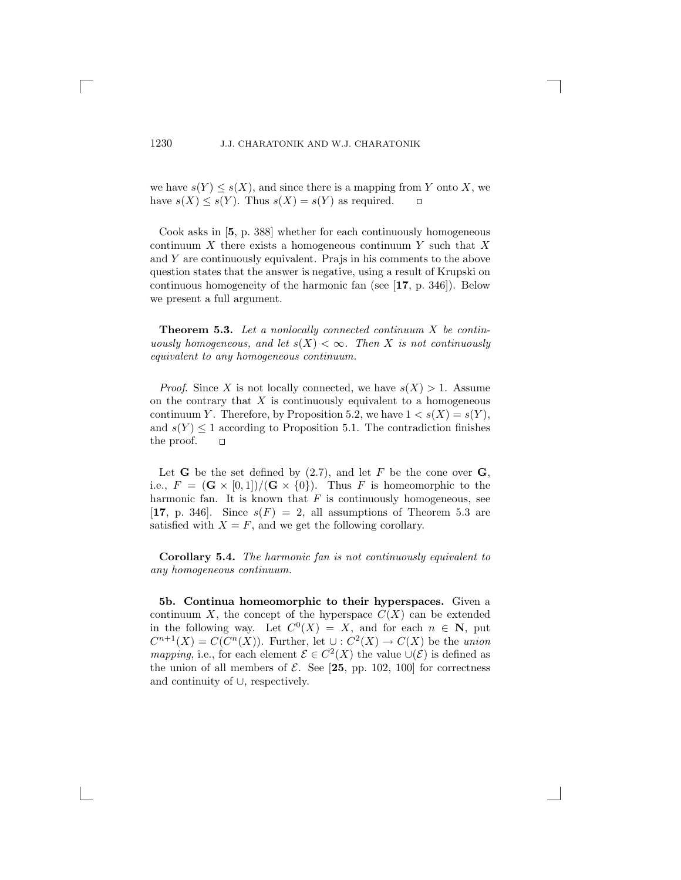we have  $s(Y) \leq s(X)$ , and since there is a mapping from Y onto X, we have  $s(X) \leq s(Y)$ . Thus  $s(X) = s(Y)$  as required have  $s(X) \leq s(Y)$ . Thus  $s(X) = s(Y)$  as required.

Cook asks in [**5**, p. 388] whether for each continuously homogeneous continuum  $X$  there exists a homogeneous continuum Y such that X and Y are continuously equivalent. Prajs in his comments to the above question states that the answer is negative, using a result of Krupski on continuous homogeneity of the harmonic fan (see [**17**, p. 346]). Below we present a full argument.

**Theorem 5.3.** *Let a nonlocally connected continuum* X *be continuously homogeneous, and let*  $s(X) < \infty$ *. Then* X *is not continuously equivalent to any homogeneous continuum.*

*Proof.* Since X is not locally connected, we have  $s(X) > 1$ . Assume on the contrary that  $X$  is continuously equivalent to a homogeneous continuum Y. Therefore, by Proposition 5.2, we have  $1 < s(X) = s(Y)$ , and  $s(Y) \leq 1$  according to Proposition 5.1. The contradiction finishes the proof.  $\Box$ the proof.

Let **G** be the set defined by  $(2.7)$ , and let F be the cone over **G**, i.e.,  $F = (\mathbf{G} \times [0,1]) / (\mathbf{G} \times \{0\})$ . Thus F is homeomorphic to the harmonic fan. It is known that  $F$  is continuously homogeneous, see [**17**, p. 346]. Since  $s(F) = 2$ , all assumptions of Theorem 5.3 are satisfied with  $X = F$ , and we get the following corollary.

**Corollary 5.4.** *The harmonic fan is not continuously equivalent to any homogeneous continuum.*

**5b. Continua homeomorphic to their hyperspaces.** Given a continuum X, the concept of the hyperspace  $C(X)$  can be extended in the following way. Let  $C^0(X) = X$ , and for each  $n \in \mathbb{N}$ , put  $C^{n+1}(X) = C(C^{n}(X))$ . Further, let  $\cup : C^{2}(X) \rightarrow C(X)$  be the *union mapping*, i.e., for each element  $\mathcal{E} \in C^2(X)$  the value  $\cup(\mathcal{E})$  is defined as the union of all members of  $\mathcal{E}$ . See [25, pp. 102, 100] for correctness and continuity of ∪, respectively.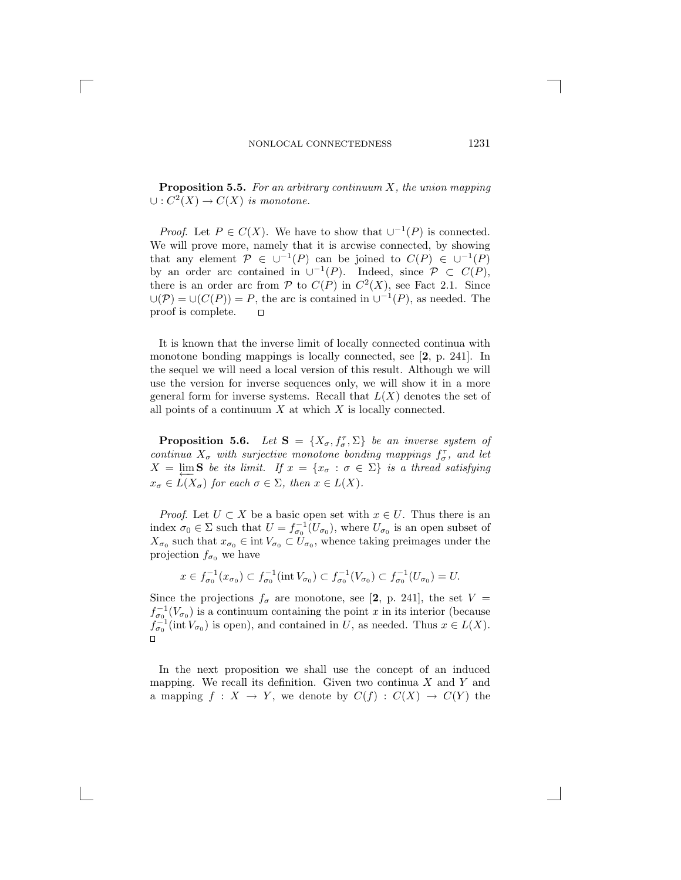**Proposition 5.5.** *For an arbitrary continuum* X*, the union mapping*  $\cup: C^2(X) \to C(X)$  *is monotone.* 

*Proof.* Let  $P \in C(X)$ . We have to show that  $\cup^{-1}(P)$  is connected. We will prove more, namely that it is arcwise connected, by showing that any element  $\mathcal{P} \in \cup^{-1}(P)$  can be joined to  $C(P) \in \cup^{-1}(P)$ by an order arc contained in  $\cup^{-1}(P)$ . Indeed, since  $\mathcal{P} \subset C(P)$ , there is an order arc from  $P$  to  $C(P)$  in  $C<sup>2</sup>(X)$ , see Fact 2.1. Since  $\bigcup(\mathcal{P}) = \bigcup(C(P)\big) = P$ , the arc is contained in  $\bigcup^{-1}(P)$ , as needed. The proof is complete. proof is complete.

It is known that the inverse limit of locally connected continua with monotone bonding mappings is locally connected, see [**2**, p. 241]. In the sequel we will need a local version of this result. Although we will use the version for inverse sequences only, we will show it in a more general form for inverse systems. Recall that  $L(X)$  denotes the set of all points of a continuum  $X$  at which  $X$  is locally connected.

**Proposition 5.6.** *Let*  $S = \{X_{\sigma}, f_{\sigma}^{\tau}, \Sigma\}$  *be an inverse system of*<br>partings X, with surjective monotone bonding mannings  $f_{\sigma}^{\tau}$  and let *continua*  $X_{\sigma}$  *with surjective monotone bonding mappings*  $f_{\sigma}^{\tau}$ *, and let*<br> $X = \lim_{\sigma \to \infty} S$  *be its limit.* If  $x = \{x : \sigma \in \Sigma\}$  is a thread satisfying  $X = \lim S$  *be its limit.* If  $x = \{x_{\sigma} : \sigma \in \Sigma\}$  *is a thread satisfying*  $x_{\sigma} \in L(X_{\sigma})$  for each  $\sigma \in \Sigma$ , then  $x \in L(X)$ .

*Proof.* Let  $U \subset X$  be a basic open set with  $x \in U$ . Thus there is an index  $\sigma_0 \in \Sigma$  such that  $U = f_{\sigma_0}^{-1}(U_{\sigma_0})$ , where  $U_{\sigma_0}$  is an open subset of  $X_{\sigma_0}$  such that  $x_{\sigma_0} \in \text{int } V_{\sigma_0} \subset U_{\sigma_0}$ , whence taking preimages under the projection  $f_{\sigma_0}$  we have

$$
x \in f_{\sigma_0}^{-1}(x_{\sigma_0}) \subset f_{\sigma_0}^{-1}(\text{int } V_{\sigma_0}) \subset f_{\sigma_0}^{-1}(V_{\sigma_0}) \subset f_{\sigma_0}^{-1}(U_{\sigma_0}) = U.
$$

Since the projections  $f_{\sigma}$  are monotone, see [2, p. 241], the set  $V =$  $f_{\sigma_0}^{-1}(V_{\sigma_0})$  is a continuum containing the point x in its interior (because  $f_{\sigma_0}^{-1}$  (int V) is open) and contained in  $U$  as needed. Thus  $x \in I(X)$  $f_{\sigma_0}^{-1}(\text{int } V_{\sigma_0})$  is open), and contained in U, as needed. Thus  $x \in L(X)$ .

In the next proposition we shall use the concept of an induced mapping. We recall its definition. Given two continua  $X$  and  $Y$  and a mapping  $f: X \to Y$ , we denote by  $C(f): C(X) \to C(Y)$  the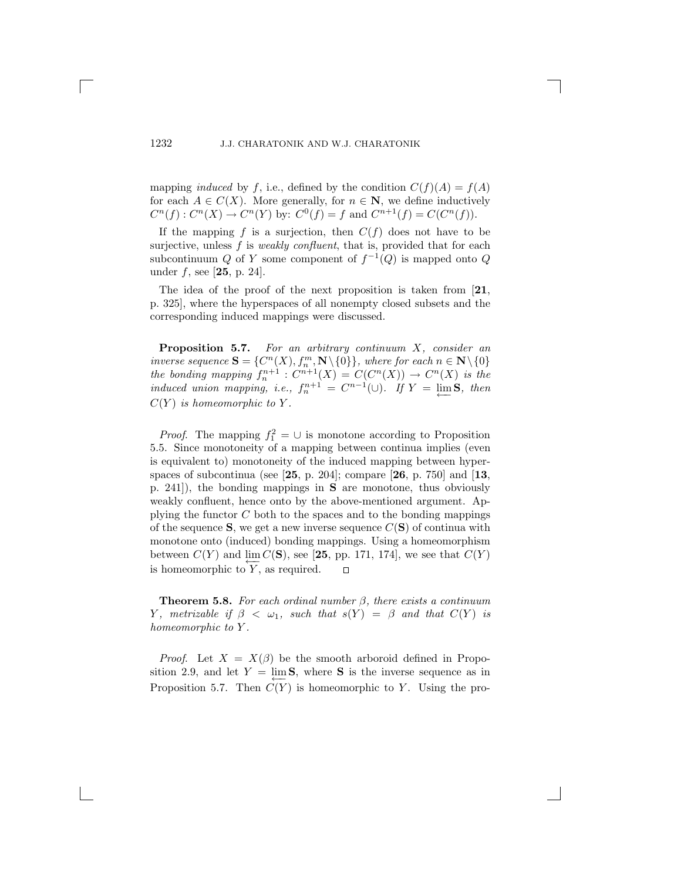mapping *induced* by f, i.e., defined by the condition  $C(f)(A) = f(A)$ for each  $A \in C(X)$ . More generally, for  $n \in \mathbb{N}$ , we define inductively  $C^n(f) : C^n(X) \to C^n(Y)$  by:  $C^0(f) = f$  and  $C^{n+1}(f) = C(C^n(f)).$ 

If the mapping f is a surjection, then  $C(f)$  does not have to be surjective, unless f is *weakly confluent*, that is, provided that for each subcontinuum Q of Y some component of  $f^{-1}(Q)$  is mapped onto Q under f, see [**25**, p. 24].

The idea of the proof of the next proposition is taken from [**21**, p. 325], where the hyperspaces of all nonempty closed subsets and the corresponding induced mappings were discussed.

**Proposition 5.7.** *For an arbitrary continuum X, consider an inverse sequence*  $S = \{C^n(X), f_n^m, N \setminus \{0\}\}\$ , where for each  $n \in N \setminus \{0\}$ *inverse sequence*  $\mathbf{S} = \{C^n(X), f_n^m, \mathbf{N} \setminus \{0\}\}\$ , where for each  $n \in \mathbf{N} \setminus \{0\}$ <br>the bonding manning  $f^{n+1} \cdot C^{n+1}(X) = C(C^n(X)) \rightarrow C^n(X)$  is the *the bonding mapping*  $f_n^{n+1}$  :  $C^{n+1}(X) = C(C^n(X)) \rightarrow C^n(X)$  *is the induced union mapping i.e.*  $f^{n+1} = C^{n-1}(\Box)$  *HV*  $\Box$  lim**S** then *induced union mapping, i.e.,*  $f_n^{n+1} = C^{n-1}(\cup)$ *.* If  $Y = \lim_{n \to \infty} S$ *, then*  $G(Y) = I$  $C(Y)$  *is homeomorphic to Y.* 

*Proof.* The mapping  $f_1^2 = \cup$  is monotone according to Proposition 5. Since monotoneity of a mapping between continua implies (even 5.5. Since monotoneity of a mapping between continua implies (even is equivalent to) monotoneity of the induced mapping between hyperspaces of subcontinua (see [**25**, p. 204]; compare [**26**, p. 750] and [**13**, p. 241]), the bonding mappings in **S** are monotone, thus obviously weakly confluent, hence onto by the above-mentioned argument. Applying the functor  $C$  both to the spaces and to the bonding mappings of the sequence  $S$ , we get a new inverse sequence  $C(S)$  of continua with monotone onto (induced) bonding mappings. Using a homeomorphism between  $C(Y)$  and  $\varprojlim_{Y} C(S)$ , see [25, pp. 171, 174], we see that  $C(Y)$  is homeomorphic to  $Y$ , as required.  $\Box$ is homeomorphic to  $Y$ , as required.

**Theorem 5.8.** *For each ordinal number* β*, there exists a continuum* Y, metrizable if  $\beta < \omega_1$ , such that  $s(Y) = \beta$  and that  $C(Y)$  is *homeomorphic to* Y *.*

*Proof.* Let  $X = X(\beta)$  be the smooth arboroid defined in Proposition 2.9, and let  $Y = \lim S$ , where S is the inverse sequence as in Proposition 5.7. Then  $C(Y)$  is homeomorphic to Y. Using the pro-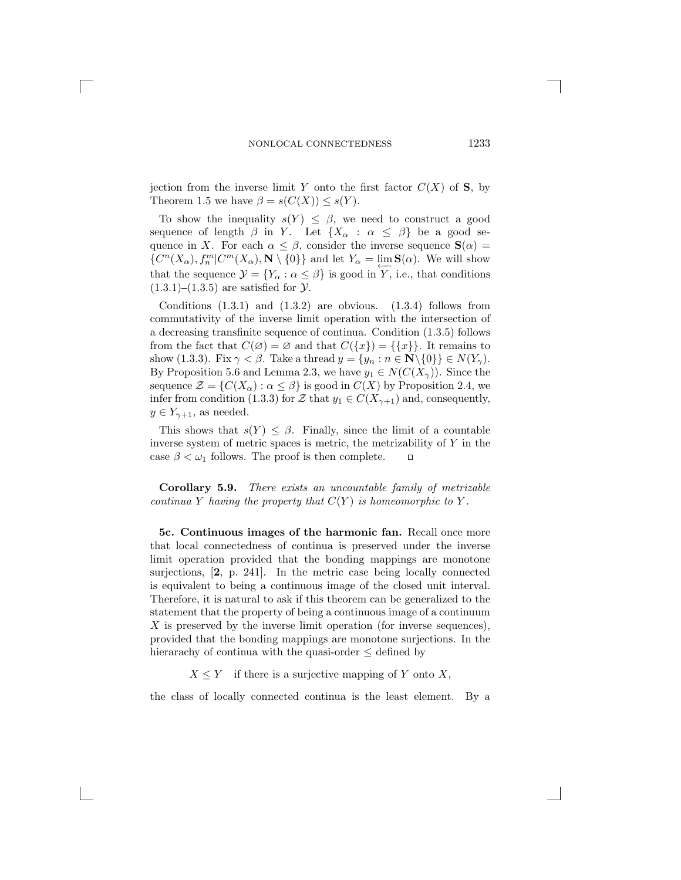jection from the inverse limit Y onto the first factor  $C(X)$  of **S**, by Theorem 1.5 we have  $\beta = s(C(X)) \leq s(Y)$ .

To show the inequality  $s(Y) \leq \beta$ , we need to construct a good sequence of length  $\beta$  in Y. Let  $\{X_\alpha : \alpha \leq \beta\}$  be a good sequence in X. For each  $\alpha \leq \beta$ , consider the inverse sequence  $\mathbf{S}(\alpha)$  =  $\{C^n(X_\alpha), f_n^m | C^m(X_\alpha), \mathbf{N} \setminus \{0\}\}\$ and let  $Y_\alpha = \varprojlim_{\alpha \to \infty} \mathbf{S}(\alpha)$ . We will show that the sequence  $\mathcal{Y} = \{Y_{\alpha} : \alpha \leq \beta\}$  is good in Y, i.e., that conditions  $(1.3.1)$ – $(1.3.5)$  are satisfied for  $\mathcal{Y}$ .

Conditions  $(1.3.1)$  and  $(1.3.2)$  are obvious.  $(1.3.4)$  follows from commutativity of the inverse limit operation with the intersection of a decreasing transfinite sequence of continua. Condition (1.3.5) follows from the fact that  $C(\emptyset) = \emptyset$  and that  $C({x}) = ({x})$ . It remains to show (1.3.3). Fix  $\gamma < \beta$ . Take a thread  $y = \{y_n : n \in \mathbb{N} \setminus \{0\}\}\in N(Y_\gamma)$ . By Proposition 5.6 and Lemma 2.3, we have  $y_1 \in N(C(X_\gamma))$ . Since the sequence  $\mathcal{Z} = \{C(X_\alpha): \alpha \leq \beta\}$  is good in  $C(X)$  by Proposition 2.4, we infer from condition (1.3.3) for Z that  $y_1 \in C(X_{\gamma+1})$  and, consequently,  $y \in Y_{\gamma+1}$ , as needed.

This shows that  $s(Y) \leq \beta$ . Finally, since the limit of a countable inverse system of metric spaces is metric, the metrizability of Y in the case  $\beta < \omega_1$  follows. The proof is then complete. case  $\beta < \omega_1$  follows. The proof is then complete.

**Corollary 5.9.** *There exists an uncountable family of metrizable continua* Y *having the property that*  $C(Y)$  *is homeomorphic to* Y.

**5c. Continuous images of the harmonic fan.** Recall once more that local connectedness of continua is preserved under the inverse limit operation provided that the bonding mappings are monotone surjections, [**2**, p. 241]. In the metric case being locally connected is equivalent to being a continuous image of the closed unit interval. Therefore, it is natural to ask if this theorem can be generalized to the statement that the property of being a continuous image of a continuum  $X$  is preserved by the inverse limit operation (for inverse sequences), provided that the bonding mappings are monotone surjections. In the hierarachy of continua with the quasi-order  $\leq$  defined by

 $X \leq Y$  if there is a surjective mapping of Y onto X,

the class of locally connected continua is the least element. By a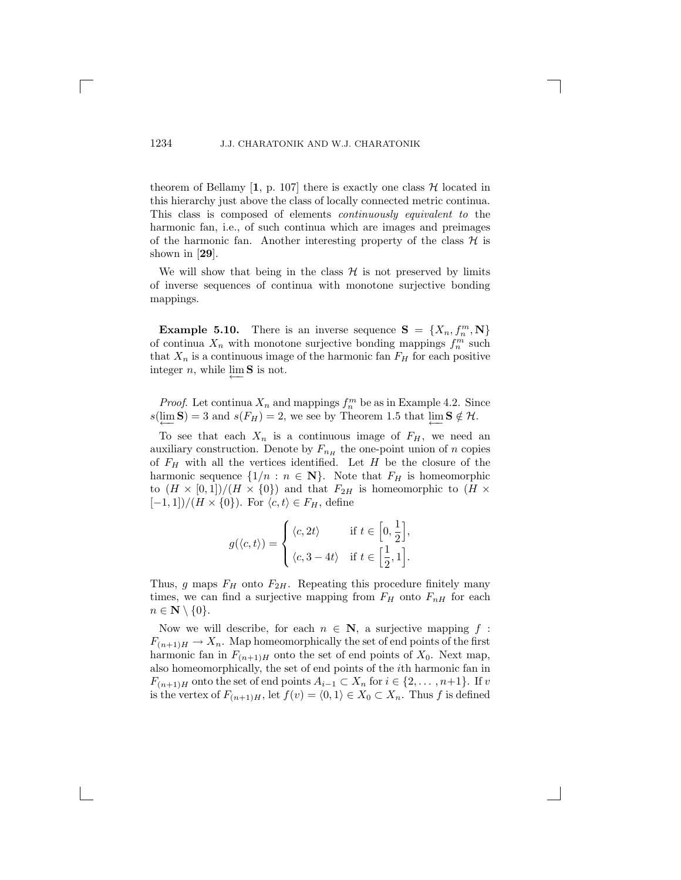theorem of Bellamy  $\left[1, p. 107\right]$  there is exactly one class  $\mathcal{H}$  located in this hierarchy just above the class of locally connected metric continua. This class is composed of elements *continuously equivalent to* the harmonic fan, i.e., of such continua which are images and preimages of the harmonic fan. Another interesting property of the class  $\mathcal H$  is shown in [**29**].

We will show that being in the class  $\mathcal H$  is not preserved by limits of inverse sequences of continua with monotone surjective bonding mappings.

**Example 5.10.** There is an inverse sequence  $S = \{X_n, f_n^m, N\}$  continua X, with monotone surjective bonding mannings  $f^m$  such of continua  $X_n$  with monotone surjective bonding mappings  $f_n^m$  such that  $X_n$  is a continuous image of the harmonic fan  $F_n$  for each positive that  $X_n$  is a continuous image of the harmonic fan  $F_H$  for each positive integer  $n$ , while lim S is not.

*Proof.* Let continua  $X_n$  and mappings  $f_n^m$  be as in Example 4.2. Since  $\lim_{n \to \infty} S = 3$  and  $s(F_n) = 2$  we see by Theorem 1.5 that  $\lim_{n \to \infty} S \neq H$  $s(\lim_{\longleftarrow} S) = 3$  and  $s(F_H) = 2$ , we see by Theorem 1.5 that  $\lim_{\longleftarrow} S \notin \mathcal{H}$ .

To see that each  $X_n$  is a continuous image of  $F_H$ , we need an auxiliary construction. Denote by  $F_{n_H}$  the one-point union of n copies of  $F_H$  with all the vertices identified. Let  $H$  be the closure of the harmonic sequence  $\{1/n : n \in \mathbb{N}\}\$ . Note that  $F_H$  is homeomorphic to  $(H \times [0,1])/(H \times \{0\})$  and that  $F_{2H}$  is homeomorphic to  $(H \times$  $[-1, 1]/(H \times \{0\})$ . For  $\langle c, t \rangle \in F_H$ , define

$$
g(\langle c, t \rangle) = \begin{cases} \langle c, 2t \rangle & \text{if } t \in \left[0, \frac{1}{2}\right], \\ \langle c, 3 - 4t \rangle & \text{if } t \in \left[\frac{1}{2}, 1\right]. \end{cases}
$$

Thus, g maps  $F_H$  onto  $F_{2H}$ . Repeating this procedure finitely many times, we can find a surjective mapping from  $F_H$  onto  $F_{nH}$  for each  $n \in \mathbf{N} \setminus \{0\}.$ 

Now we will describe, for each  $n \in \mathbb{N}$ , a surjective mapping f:  $F_{(n+1)H} \to X_n$ . Map homeomorphically the set of end points of the first harmonic fan in  $F_{(n+1)H}$  onto the set of end points of  $X_0$ . Next map, also homeomorphically, the set of end points of the ith harmonic fan in  $F_{(n+1)H}$  onto the set of end points  $A_{i-1} \subset X_n$  for  $i \in \{2, \ldots, n+1\}$ . If v is the vertex of  $F_{(n+1)H}$ , let  $f(v) = \langle 0, 1 \rangle \in X_0 \subset X_n$ . Thus f is defined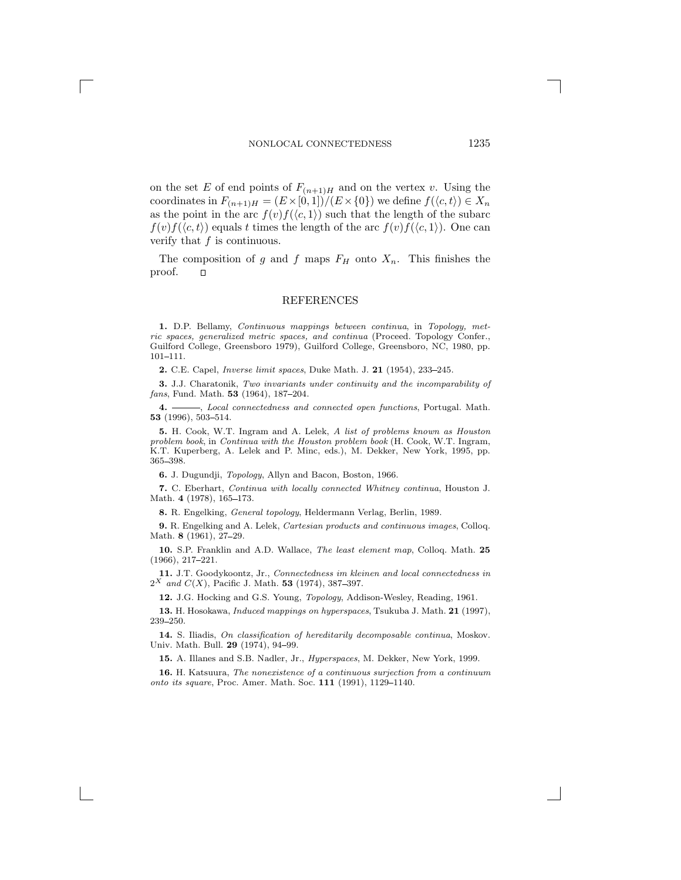on the set E of end points of  $F_{(n+1)H}$  and on the vertex v. Using the coordinates in  $F_{(n+1)H} = (E \times [0,1])/(E \times \{0\})$  we define  $f(\langle c, t \rangle) \in X_n$ as the point in the arc  $f(v)f(\langle c, 1 \rangle)$  such that the length of the subarc  $f(v)f(\langle c, t \rangle)$  equals t times the length of the arc  $f(v)f(\langle c, 1 \rangle)$ . One can verify that  $f$  is continuous.

The composition of g and f maps  $F_H$  onto  $X_n$ . This finishes the roof.  $\square$ proof.

#### REFERENCES

**1.** D.P. Bellamy, Continuous mappings between continua, in Topology, metric spaces, generalized metric spaces, and continua (Proceed. Topology Confer., Guilford College, Greensboro 1979), Guilford College, Greensboro, NC, 1980, pp.  $101 - 111.$ 

**2.** C.E. Capel, *Inverse limit spaces*, Duke Math. J. **21** (1954), 233–245.

**3.** J.J. Charatonik, Two invariants under continuity and the incomparability of fans, Fund. Math. **53** (1964), 187-204.

4.  $\longrightarrow$ , Local connectedness and connected open functions, Portugal. Math. 53 (1996), 503-514.

**5.** H. Cook, W.T. Ingram and A. Lelek, A list of problems known as Houston problem book, in Continua with the Houston problem book (H. Cook, W.T. Ingram, K.T. Kuperberg, A. Lelek and P. Minc, eds.), M. Dekker, New York, 1995, pp. 365 398.

**6.** J. Dugundji, Topology, Allyn and Bacon, Boston, 1966.

**7.** C. Eberhart, Continua with locally connected Whitney continua, Houston J. Math. 4 (1978), 165-173.

**8.** R. Engelking, General topology, Heldermann Verlag, Berlin, 1989.

**9.** R. Engelking and A. Lelek, Cartesian products and continuous images, Colloq. Math. **8** (1961), 27-29.

**10.** S.P. Franklin and A.D. Wallace, The least element map, Colloq. Math. **25**  $(1966), 217 - 221.$ 

**11.** J.T. Goodykoontz, Jr., Connectedness im kleinen and local connectedness in  $2^X$  and  $C(X)$ , Pacific J. Math. **53** (1974), 387-397.

**12.** J.G. Hocking and G.S. Young, Topology, Addison-Wesley, Reading, 1961.

**13.** H. Hosokawa, Induced mappings on hyperspaces, Tsukuba J. Math. **21** (1997), 239-250.

**14.** S. Iliadis, On classification of hereditarily decomposable continua, Moskov. Univ. Math. Bull. **29** (1974), 94-99.

**15.** A. Illanes and S.B. Nadler, Jr., Hyperspaces, M. Dekker, New York, 1999.

**16.** H. Katsuura, The nonexistence of a continuous surjection from a continuum onto its square, Proc. Amer. Math. Soc. 111 (1991), 1129-1140.